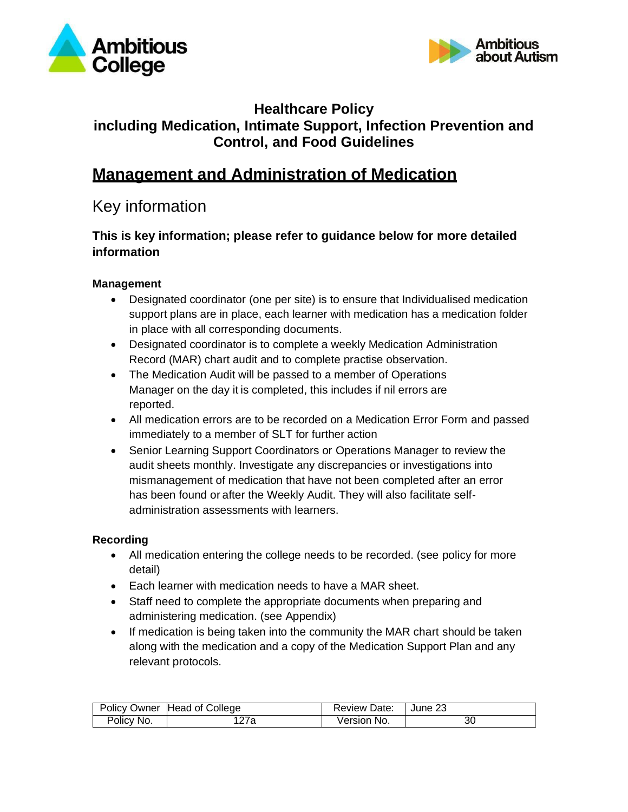



# **Healthcare Policy including Medication, Intimate Support, Infection Prevention and Control, and Food Guidelines**

# **Management and Administration of Medication**

# Key information

# **This is key information; please refer to guidance below for more detailed information**

# **Management**

- Designated coordinator (one per site) is to ensure that Individualised medication support plans are in place, each learner with medication has a medication folder in place with all corresponding documents.
- Designated coordinator is to complete a weekly Medication Administration Record (MAR) chart audit and to complete practise observation.
- The Medication Audit will be passed to a member of Operations Manager on the day it is completed, this includes if nil errors are reported.
- All medication errors are to be recorded on a Medication Error Form and passed immediately to a member of SLT for further action
- Senior Learning Support Coordinators or Operations Manager to review the audit sheets monthly. Investigate any discrepancies or investigations into mismanagement of medication that have not been completed after an error has been found or after the Weekly Audit. They will also facilitate selfadministration assessments with learners.

# **Recording**

- All medication entering the college needs to be recorded. (see policy for more detail)
- Each learner with medication needs to have a MAR sheet.
- Staff need to complete the appropriate documents when preparing and administering medication. (see Appendix)
- If medication is being taken into the community the MAR chart should be taken along with the medication and a copy of the Medication Support Plan and any relevant protocols.

|            | Policy Owner Head of College | <b>Review Date:</b> | June 23 |
|------------|------------------------------|---------------------|---------|
| Policy No. | 27a                          | Version No.         | οU      |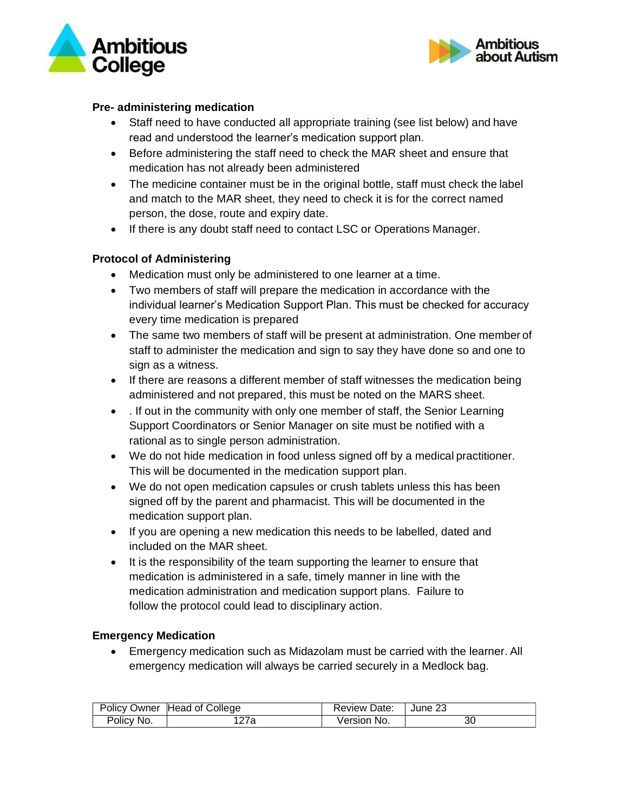



#### **Pre- administering medication**

- Staff need to have conducted all appropriate training (see list below) and have read and understood the learner's medication support plan.
- Before administering the staff need to check the MAR sheet and ensure that medication has not already been administered
- The medicine container must be in the original bottle, staff must check the label and match to the MAR sheet, they need to check it is for the correct named person, the dose, route and expiry date.
- If there is any doubt staff need to contact LSC or Operations Manager.

## **Protocol of Administering**

- Medication must only be administered to one learner at a time.
- Two members of staff will prepare the medication in accordance with the individual learner's Medication Support Plan. This must be checked for accuracy every time medication is prepared
- The same two members of staff will be present at administration. One member of staff to administer the medication and sign to say they have done so and one to sign as a witness.
- If there are reasons a different member of staff witnesses the medication being administered and not prepared, this must be noted on the MARS sheet.
- . If out in the community with only one member of staff, the Senior Learning Support Coordinators or Senior Manager on site must be notified with a rational as to single person administration.
- We do not hide medication in food unless signed off by a medical practitioner. This will be documented in the medication support plan.
- We do not open medication capsules or crush tablets unless this has been signed off by the parent and pharmacist. This will be documented in the medication support plan.
- If you are opening a new medication this needs to be labelled, dated and included on the MAR sheet.
- It is the responsibility of the team supporting the learner to ensure that medication is administered in a safe, timely manner in line with the medication administration and medication support plans. Failure to follow the protocol could lead to disciplinary action.

#### **Emergency Medication**

• Emergency medication such as Midazolam must be carried with the learner. All emergency medication will always be carried securely in a Medlock bag.

|            | Policy Owner Head of College | <b>Review Date:</b> | June 23 |
|------------|------------------------------|---------------------|---------|
| Policy No. | 127a                         | Version No.         | 30      |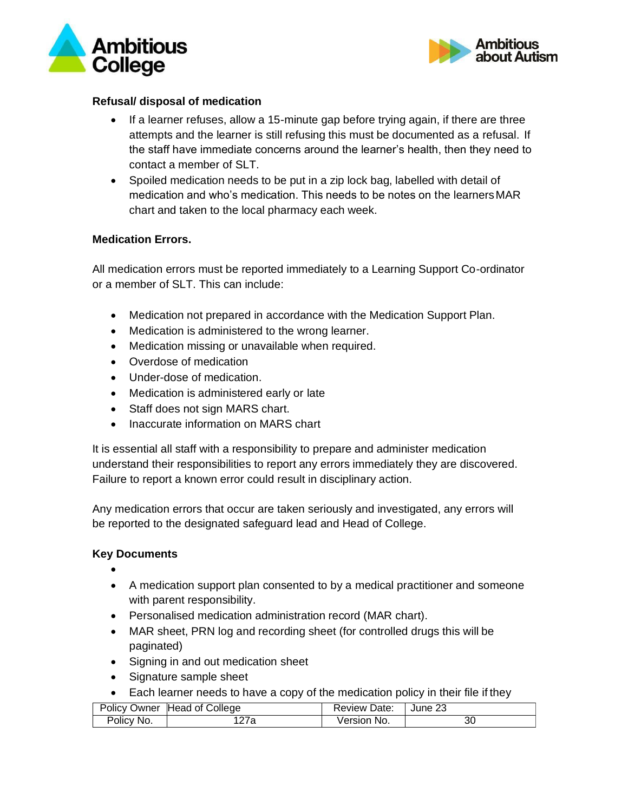



#### **Refusal/ disposal of medication**

- If a learner refuses, allow a 15-minute gap before trying again, if there are three attempts and the learner is still refusing this must be documented as a refusal. If the staff have immediate concerns around the learner's health, then they need to contact a member of SLT.
- Spoiled medication needs to be put in a zip lock bag, labelled with detail of medication and who's medication. This needs to be notes on the learnersMAR chart and taken to the local pharmacy each week.

#### **Medication Errors.**

All medication errors must be reported immediately to a Learning Support Co-ordinator or a member of SLT. This can include:

- Medication not prepared in accordance with the Medication Support Plan.
- Medication is administered to the wrong learner.
- Medication missing or unavailable when required.
- Overdose of medication
- Under-dose of medication.
- Medication is administered early or late
- Staff does not sign MARS chart.
- Inaccurate information on MARS chart

It is essential all staff with a responsibility to prepare and administer medication understand their responsibilities to report any errors immediately they are discovered. Failure to report a known error could result in disciplinary action.

Any medication errors that occur are taken seriously and investigated, any errors will be reported to the designated safeguard lead and Head of College.

#### **Key Documents**

- •
- A medication support plan consented to by a medical practitioner and someone with parent responsibility.
- Personalised medication administration record (MAR chart).
- MAR sheet, PRN log and recording sheet (for controlled drugs this will be paginated)
- Signing in and out medication sheet
- Signature sample sheet
- Each learner needs to have a copy of the medication policy in their file if they

|            | Policy Owner Head of College | Review Date: | June 23 |
|------------|------------------------------|--------------|---------|
| Policy No. |                              | Version No.  | 30      |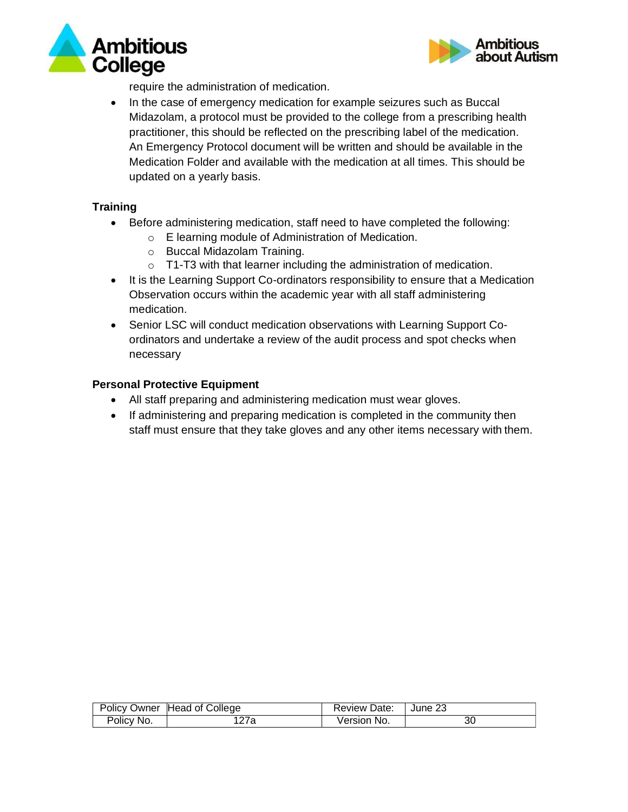



require the administration of medication.

• In the case of emergency medication for example seizures such as Buccal Midazolam, a protocol must be provided to the college from a prescribing health practitioner, this should be reflected on the prescribing label of the medication. An Emergency Protocol document will be written and should be available in the Medication Folder and available with the medication at all times. This should be updated on a yearly basis.

# **Training**

- Before administering medication, staff need to have completed the following:
	- o E learning module of Administration of Medication.
	- o Buccal Midazolam Training.
	- $\circ$  T1-T3 with that learner including the administration of medication.
- It is the Learning Support Co-ordinators responsibility to ensure that a Medication Observation occurs within the academic year with all staff administering medication.
- Senior LSC will conduct medication observations with Learning Support Coordinators and undertake a review of the audit process and spot checks when necessary

## **Personal Protective Equipment**

- All staff preparing and administering medication must wear gloves.
- If administering and preparing medication is completed in the community then staff must ensure that they take gloves and any other items necessary with them.

|            | Policy Owner Head of College | <b>Review Date:</b> | June 23 |
|------------|------------------------------|---------------------|---------|
| Policy No. | 127a                         | Version No.         | 30      |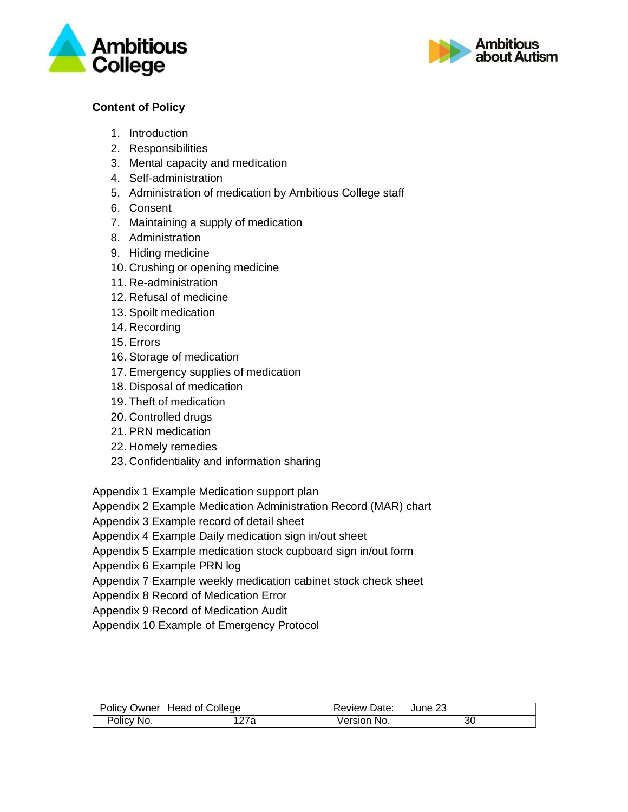



# **Content of Policy**

- 1. Introduction
- 2. Responsibilities
- 3. Mental capacity and medication
- 4. Self-administration
- 5. Administration of medication by Ambitious College staff
- 6. Consent
- 7. Maintaining a supply of medication
- 8. Administration
- 9. Hiding medicine
- 10. Crushing or opening medicine
- 11. Re-administration
- 12. Refusal of medicine
- 13. Spoilt medication
- 14. Recording
- 15. Errors
- 16. Storage of medication
- 17. Emergency supplies of medication
- 18. Disposal of medication
- 19. Theft of medication
- 20. Controlled drugs
- 21. PRN medication
- 22. Homely remedies
- 23. Confidentiality and information sharing

Appendix 1 Example Medication support plan

Appendix 2 Example Medication Administration Record (MAR) chart

Appendix 3 Example record of detail sheet

Appendix 4 Example Daily medication sign in/out sheet

Appendix 5 Example medication stock cupboard sign in/out form

Appendix 6 Example PRN log

Appendix 7 Example weekly medication cabinet stock check sheet

Appendix 8 Record of Medication Error

Appendix 9 Record of Medication Audit

Appendix 10 Example of Emergency Protocol

|            | Policy Owner Head of College | <b>Review Date:</b> | June 23 |
|------------|------------------------------|---------------------|---------|
| Policy No. | 27a                          | Version No.         | 30      |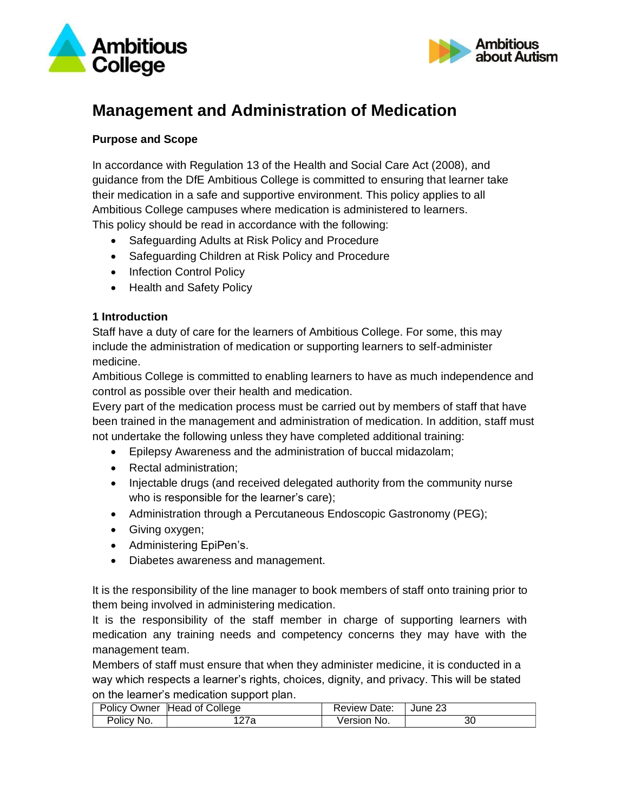



# **Management and Administration of Medication**

## **Purpose and Scope**

In accordance with Regulation 13 of the Health and Social Care Act (2008), and guidance from the DfE Ambitious College is committed to ensuring that learner take their medication in a safe and supportive environment. This policy applies to all Ambitious College campuses where medication is administered to learners. This policy should be read in accordance with the following:

- Safeguarding Adults at Risk Policy and Procedure
- Safeguarding Children at Risk Policy and Procedure
- Infection Control Policy
- Health and Safety Policy

#### **1 Introduction**

Staff have a duty of care for the learners of Ambitious College. For some, this may include the administration of medication or supporting learners to self-administer medicine.

Ambitious College is committed to enabling learners to have as much independence and control as possible over their health and medication.

Every part of the medication process must be carried out by members of staff that have been trained in the management and administration of medication. In addition, staff must not undertake the following unless they have completed additional training:

- Epilepsy Awareness and the administration of buccal midazolam;
- Rectal administration;
- Injectable drugs (and received delegated authority from the community nurse who is responsible for the learner's care);
- Administration through a Percutaneous Endoscopic Gastronomy (PEG);
- Giving oxygen;
- Administering EpiPen's.
- Diabetes awareness and management.

It is the responsibility of the line manager to book members of staff onto training prior to them being involved in administering medication.

It is the responsibility of the staff member in charge of supporting learners with medication any training needs and competency concerns they may have with the management team.

Members of staff must ensure that when they administer medicine, it is conducted in a way which respects a learner's rights, choices, dignity, and privacy. This will be stated on the learner's medication support plan.

|            | Policy Owner Head of College | <b>Review Date:</b> | June 23 |
|------------|------------------------------|---------------------|---------|
| Policy No. | 127a                         | Version No.         | 30      |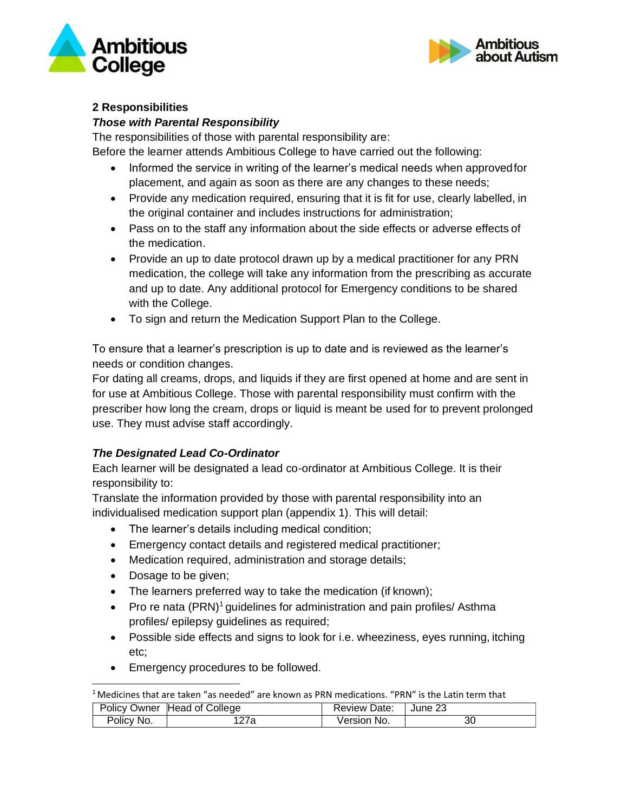



#### **2 Responsibilities**

## *Those with Parental Responsibility*

The responsibilities of those with parental responsibility are:

Before the learner attends Ambitious College to have carried out the following:

- Informed the service in writing of the learner's medical needs when approvedfor placement, and again as soon as there are any changes to these needs;
- Provide any medication required, ensuring that it is fit for use, clearly labelled, in the original container and includes instructions for administration;
- Pass on to the staff any information about the side effects or adverse effects of the medication.
- Provide an up to date protocol drawn up by a medical practitioner for any PRN medication, the college will take any information from the prescribing as accurate and up to date. Any additional protocol for Emergency conditions to be shared with the College.
- To sign and return the Medication Support Plan to the College.

To ensure that a learner's prescription is up to date and is reviewed as the learner's needs or condition changes.

For dating all creams, drops, and liquids if they are first opened at home and are sent in for use at Ambitious College. Those with parental responsibility must confirm with the prescriber how long the cream, drops or liquid is meant be used for to prevent prolonged use. They must advise staff accordingly.

# *The Designated Lead Co-Ordinator*

Each learner will be designated a lead co-ordinator at Ambitious College. It is their responsibility to:

Translate the information provided by those with parental responsibility into an individualised medication support plan (appendix 1). This will detail:

- The learner's details including medical condition;
- Emergency contact details and registered medical practitioner;
- Medication required, administration and storage details;
- Dosage to be given;
- The learners preferred way to take the medication (if known);
- Pro re nata  $(PRN)^1$  quidelines for administration and pain profiles/ Asthma profiles/ epilepsy guidelines as required;
- Possible side effects and signs to look for i.e. wheeziness, eyes running, itching etc;
- Emergency procedures to be followed.

<sup>&</sup>lt;sup>1</sup> Medicines that are taken "as needed" are known as PRN medications. "PRN" is the Latin term that

|            | Policy Owner Head of College | <b>Review Date:</b> | June 23 |
|------------|------------------------------|---------------------|---------|
| Policy No. | 127a                         | Version No.         | 30      |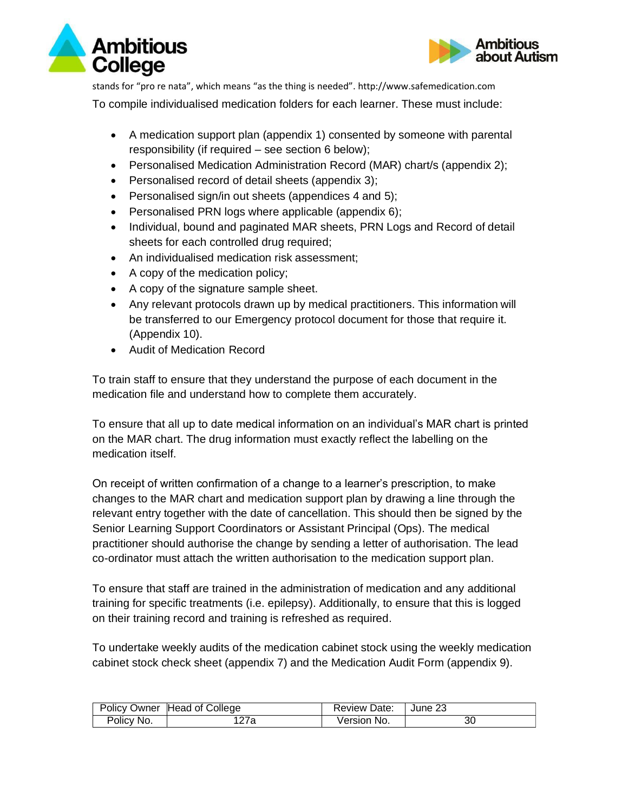



stands for "pro re nata", which means "as the thing is needed". [http://www.safemedication.com](http://www.safemedication.com/) To compile individualised medication folders for each learner. These must include:

- A medication support plan (appendix 1) consented by someone with parental responsibility (if required – see section 6 below);
- Personalised Medication Administration Record (MAR) chart/s (appendix 2);
- Personalised record of detail sheets (appendix 3);
- Personalised sign/in out sheets (appendices 4 and 5);
- Personalised PRN logs where applicable (appendix 6);
- Individual, bound and paginated MAR sheets, PRN Logs and Record of detail sheets for each controlled drug required;
- An individualised medication risk assessment;
- A copy of the medication policy;
- A copy of the signature sample sheet.
- Any relevant protocols drawn up by medical practitioners. This information will be transferred to our Emergency protocol document for those that require it. (Appendix 10).
- Audit of Medication Record

To train staff to ensure that they understand the purpose of each document in the medication file and understand how to complete them accurately.

To ensure that all up to date medical information on an individual's MAR chart is printed on the MAR chart. The drug information must exactly reflect the labelling on the medication itself.

On receipt of written confirmation of a change to a learner's prescription, to make changes to the MAR chart and medication support plan by drawing a line through the relevant entry together with the date of cancellation. This should then be signed by the Senior Learning Support Coordinators or Assistant Principal (Ops). The medical practitioner should authorise the change by sending a letter of authorisation. The lead co-ordinator must attach the written authorisation to the medication support plan.

To ensure that staff are trained in the administration of medication and any additional training for specific treatments (i.e. epilepsy). Additionally, to ensure that this is logged on their training record and training is refreshed as required.

To undertake weekly audits of the medication cabinet stock using the weekly medication cabinet stock check sheet (appendix 7) and the Medication Audit Form (appendix 9).

|            | Policy Owner Head of College | <b>Review Date:</b> | June 23 |
|------------|------------------------------|---------------------|---------|
| Policy No. | 127a                         | Version No.         | 30      |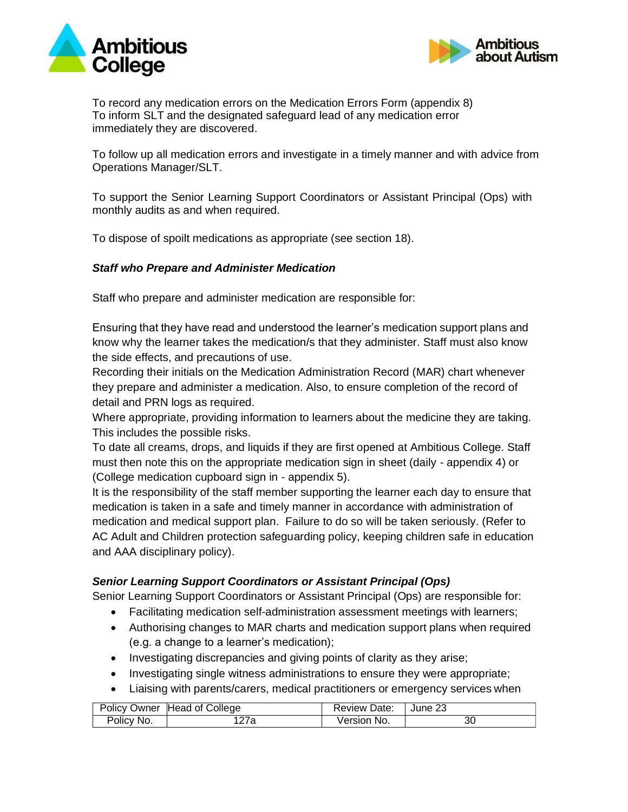



To record any medication errors on the Medication Errors Form (appendix 8) To inform SLT and the designated safeguard lead of any medication error immediately they are discovered.

To follow up all medication errors and investigate in a timely manner and with advice from Operations Manager/SLT.

To support the Senior Learning Support Coordinators or Assistant Principal (Ops) with monthly audits as and when required.

To dispose of spoilt medications as appropriate (see section 18).

#### *Staff who Prepare and Administer Medication*

Staff who prepare and administer medication are responsible for:

Ensuring that they have read and understood the learner's medication support plans and know why the learner takes the medication/s that they administer. Staff must also know the side effects, and precautions of use.

Recording their initials on the Medication Administration Record (MAR) chart whenever they prepare and administer a medication. Also, to ensure completion of the record of detail and PRN logs as required.

Where appropriate, providing information to learners about the medicine they are taking. This includes the possible risks.

To date all creams, drops, and liquids if they are first opened at Ambitious College. Staff must then note this on the appropriate medication sign in sheet (daily - appendix 4) or (College medication cupboard sign in - appendix 5).

It is the responsibility of the staff member supporting the learner each day to ensure that medication is taken in a safe and timely manner in accordance with administration of medication and medical support plan. Failure to do so will be taken seriously. (Refer to AC Adult and Children protection safeguarding policy, keeping children safe in education and AAA disciplinary policy).

#### *Senior Learning Support Coordinators or Assistant Principal (Ops)*

Senior Learning Support Coordinators or Assistant Principal (Ops) are responsible for:

- Facilitating medication self-administration assessment meetings with learners;
- Authorising changes to MAR charts and medication support plans when required (e.g. a change to a learner's medication);
- Investigating discrepancies and giving points of clarity as they arise;
- Investigating single witness administrations to ensure they were appropriate;
- Liaising with parents/carers, medical practitioners or emergency services when

|            | Policy Owner Head of College | <b>Review Date:</b> | June 23 |
|------------|------------------------------|---------------------|---------|
| Policy No. | 27a                          | Version No.         | 30      |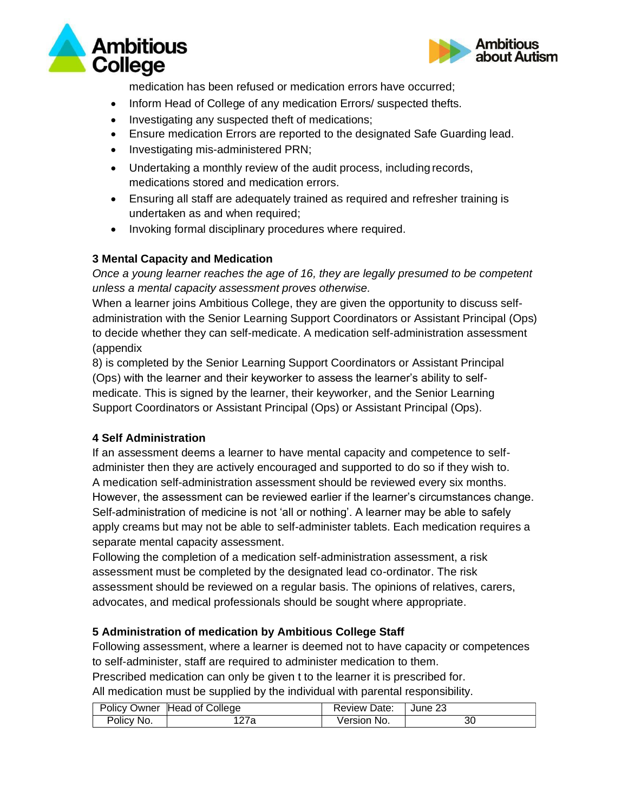



medication has been refused or medication errors have occurred;

- Inform Head of College of any medication Errors/ suspected thefts.
- Investigating any suspected theft of medications;
- Ensure medication Errors are reported to the designated Safe Guarding lead.
- Investigating mis-administered PRN;
- Undertaking a monthly review of the audit process, including records, medications stored and medication errors.
- Ensuring all staff are adequately trained as required and refresher training is undertaken as and when required;
- Invoking formal disciplinary procedures where required.

## **3 Mental Capacity and Medication**

*Once a young learner reaches the age of 16, they are legally presumed to be competent unless a mental capacity assessment proves otherwise.*

When a learner joins Ambitious College, they are given the opportunity to discuss selfadministration with the Senior Learning Support Coordinators or Assistant Principal (Ops) to decide whether they can self-medicate. A medication self-administration assessment (appendix

8) is completed by the Senior Learning Support Coordinators or Assistant Principal (Ops) with the learner and their keyworker to assess the learner's ability to selfmedicate. This is signed by the learner, their keyworker, and the Senior Learning Support Coordinators or Assistant Principal (Ops) or Assistant Principal (Ops).

# **4 Self Administration**

If an assessment deems a learner to have mental capacity and competence to selfadminister then they are actively encouraged and supported to do so if they wish to. A medication self-administration assessment should be reviewed every six months. However, the assessment can be reviewed earlier if the learner's circumstances change. Self-administration of medicine is not 'all or nothing'. A learner may be able to safely apply creams but may not be able to self-administer tablets. Each medication requires a separate mental capacity assessment.

Following the completion of a medication self-administration assessment, a risk assessment must be completed by the designated lead co-ordinator. The risk assessment should be reviewed on a regular basis. The opinions of relatives, carers, advocates, and medical professionals should be sought where appropriate.

#### **5 Administration of medication by Ambitious College Staff**

Following assessment, where a learner is deemed not to have capacity or competences to self-administer, staff are required to administer medication to them.

Prescribed medication can only be given t to the learner it is prescribed for.

All medication must be supplied by the individual with parental responsibility.

|            | Policy Owner Head of College | <b>Review Date:</b> | June 23 |
|------------|------------------------------|---------------------|---------|
| Policy No. | 127a                         | Version No.         | 30      |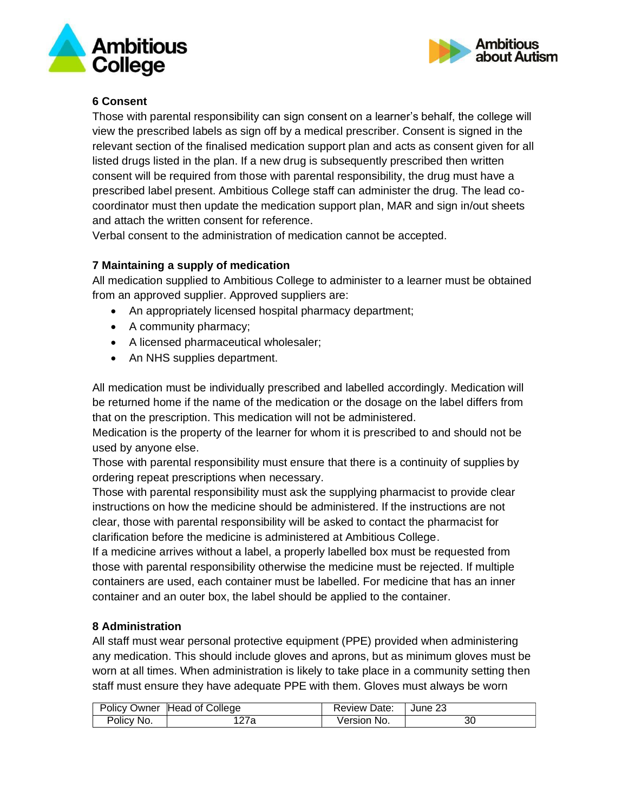



# **6 Consent**

Those with parental responsibility can sign consent on a learner's behalf, the college will view the prescribed labels as sign off by a medical prescriber. Consent is signed in the relevant section of the finalised medication support plan and acts as consent given for all listed drugs listed in the plan. If a new drug is subsequently prescribed then written consent will be required from those with parental responsibility, the drug must have a prescribed label present. Ambitious College staff can administer the drug. The lead cocoordinator must then update the medication support plan, MAR and sign in/out sheets and attach the written consent for reference.

Verbal consent to the administration of medication cannot be accepted.

# **7 Maintaining a supply of medication**

All medication supplied to Ambitious College to administer to a learner must be obtained from an approved supplier. Approved suppliers are:

- An appropriately licensed hospital pharmacy department;
- A community pharmacy;
- A licensed pharmaceutical wholesaler;
- An NHS supplies department.

All medication must be individually prescribed and labelled accordingly. Medication will be returned home if the name of the medication or the dosage on the label differs from that on the prescription. This medication will not be administered.

Medication is the property of the learner for whom it is prescribed to and should not be used by anyone else.

Those with parental responsibility must ensure that there is a continuity of supplies by ordering repeat prescriptions when necessary.

Those with parental responsibility must ask the supplying pharmacist to provide clear instructions on how the medicine should be administered. If the instructions are not clear, those with parental responsibility will be asked to contact the pharmacist for clarification before the medicine is administered at Ambitious College.

If a medicine arrives without a label, a properly labelled box must be requested from those with parental responsibility otherwise the medicine must be rejected. If multiple containers are used, each container must be labelled. For medicine that has an inner container and an outer box, the label should be applied to the container.

#### **8 Administration**

All staff must wear personal protective equipment (PPE) provided when administering any medication. This should include gloves and aprons, but as minimum gloves must be worn at all times. When administration is likely to take place in a community setting then staff must ensure they have adequate PPE with them. Gloves must always be worn

|            | Policy Owner Head of College | <b>Review Date:</b> | June 23 |
|------------|------------------------------|---------------------|---------|
| Policy No. | 127a                         | Version No.         | 30      |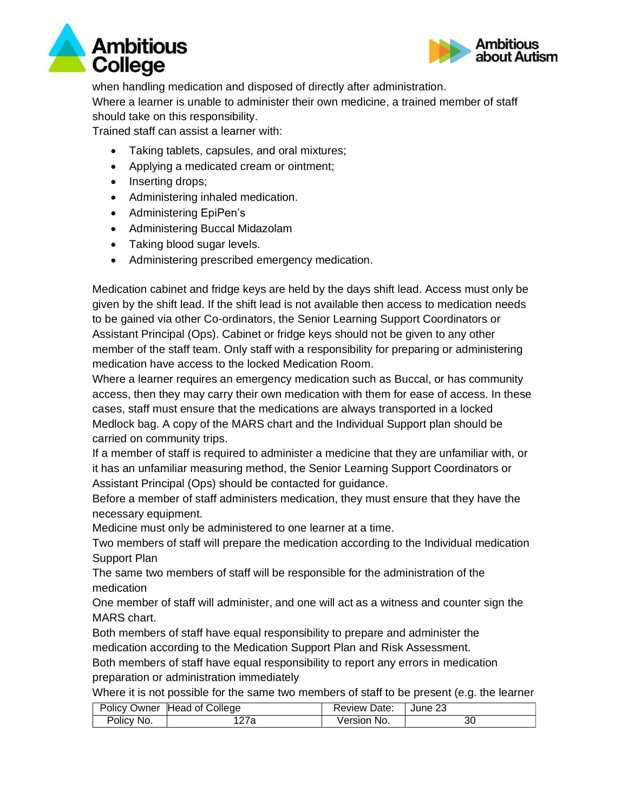



when handling medication and disposed of directly after administration. Where a learner is unable to administer their own medicine, a trained member of staff should take on this responsibility.

Trained staff can assist a learner with:

- Taking tablets, capsules, and oral mixtures;
- Applying a medicated cream or ointment;
- Inserting drops;
- Administering inhaled medication.
- Administering EpiPen's
- Administering Buccal Midazolam
- Taking blood sugar levels.
- Administering prescribed emergency medication.

Medication cabinet and fridge keys are held by the days shift lead. Access must only be given by the shift lead. If the shift lead is not available then access to medication needs to be gained via other Co-ordinators, the Senior Learning Support Coordinators or Assistant Principal (Ops). Cabinet or fridge keys should not be given to any other member of the staff team. Only staff with a responsibility for preparing or administering medication have access to the locked Medication Room.

Where a learner requires an emergency medication such as Buccal, or has community access, then they may carry their own medication with them for ease of access. In these cases, staff must ensure that the medications are always transported in a locked Medlock bag. A copy of the MARS chart and the Individual Support plan should be carried on community trips.

If a member of staff is required to administer a medicine that they are unfamiliar with, or it has an unfamiliar measuring method, the Senior Learning Support Coordinators or Assistant Principal (Ops) should be contacted for guidance.

Before a member of staff administers medication, they must ensure that they have the necessary equipment.

Medicine must only be administered to one learner at a time.

Two members of staff will prepare the medication according to the Individual medication Support Plan

The same two members of staff will be responsible for the administration of the medication

One member of staff will administer, and one will act as a witness and counter sign the MARS chart.

Both members of staff have equal responsibility to prepare and administer the medication according to the Medication Support Plan and Risk Assessment.

Both members of staff have equal responsibility to report any errors in medication preparation or administration immediately

Where it is not possible for the same two members of staff to be present (e.g. the learner

|            | Policy Owner Head of College | Review Date: | June 23 |
|------------|------------------------------|--------------|---------|
| Policy No. | 127a                         | Version No.  | 30      |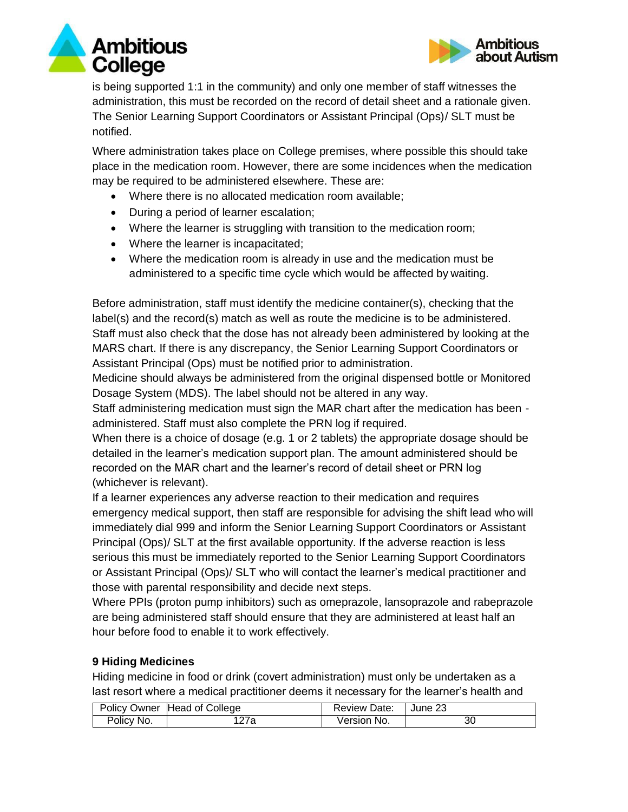



is being supported 1:1 in the community) and only one member of staff witnesses the administration, this must be recorded on the record of detail sheet and a rationale given. The Senior Learning Support Coordinators or Assistant Principal (Ops)/ SLT must be notified.

Where administration takes place on College premises, where possible this should take place in the medication room. However, there are some incidences when the medication may be required to be administered elsewhere. These are:

- Where there is no allocated medication room available;
- During a period of learner escalation;
- Where the learner is struggling with transition to the medication room;
- Where the learner is incapacitated;
- Where the medication room is already in use and the medication must be administered to a specific time cycle which would be affected by waiting.

Before administration, staff must identify the medicine container(s), checking that the label(s) and the record(s) match as well as route the medicine is to be administered. Staff must also check that the dose has not already been administered by looking at the MARS chart. If there is any discrepancy, the Senior Learning Support Coordinators or Assistant Principal (Ops) must be notified prior to administration.

Medicine should always be administered from the original dispensed bottle or Monitored Dosage System (MDS). The label should not be altered in any way.

Staff administering medication must sign the MAR chart after the medication has been administered. Staff must also complete the PRN log if required.

When there is a choice of dosage (e.g. 1 or 2 tablets) the appropriate dosage should be detailed in the learner's medication support plan. The amount administered should be recorded on the MAR chart and the learner's record of detail sheet or PRN log (whichever is relevant).

If a learner experiences any adverse reaction to their medication and requires emergency medical support, then staff are responsible for advising the shift lead who will immediately dial 999 and inform the Senior Learning Support Coordinators or Assistant Principal (Ops)/ SLT at the first available opportunity. If the adverse reaction is less serious this must be immediately reported to the Senior Learning Support Coordinators or Assistant Principal (Ops)/ SLT who will contact the learner's medical practitioner and those with parental responsibility and decide next steps.

Where PPIs (proton pump inhibitors) such as omeprazole, lansoprazole and rabeprazole are being administered staff should ensure that they are administered at least half an hour before food to enable it to work effectively.

#### **9 Hiding Medicines**

Hiding medicine in food or drink (covert administration) must only be undertaken as a last resort where a medical practitioner deems it necessary for the learner's health and

|            | Policy Owner Head of College | <b>Review Date:</b> | June 23 |
|------------|------------------------------|---------------------|---------|
| Policy No. | 127a                         | Version No.         | 30      |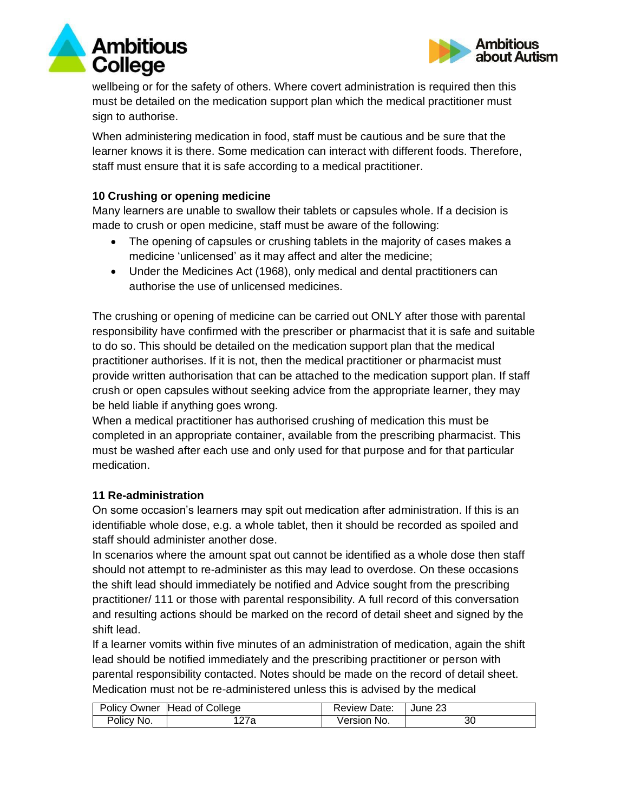



wellbeing or for the safety of others. Where covert administration is required then this must be detailed on the medication support plan which the medical practitioner must sign to authorise.

When administering medication in food, staff must be cautious and be sure that the learner knows it is there. Some medication can interact with different foods. Therefore, staff must ensure that it is safe according to a medical practitioner.

#### **10 Crushing or opening medicine**

Many learners are unable to swallow their tablets or capsules whole. If a decision is made to crush or open medicine, staff must be aware of the following:

- The opening of capsules or crushing tablets in the majority of cases makes a medicine 'unlicensed' as it may affect and alter the medicine;
- Under the Medicines Act (1968), only medical and dental practitioners can authorise the use of unlicensed medicines.

The crushing or opening of medicine can be carried out ONLY after those with parental responsibility have confirmed with the prescriber or pharmacist that it is safe and suitable to do so. This should be detailed on the medication support plan that the medical practitioner authorises. If it is not, then the medical practitioner or pharmacist must provide written authorisation that can be attached to the medication support plan. If staff crush or open capsules without seeking advice from the appropriate learner, they may be held liable if anything goes wrong.

When a medical practitioner has authorised crushing of medication this must be completed in an appropriate container, available from the prescribing pharmacist. This must be washed after each use and only used for that purpose and for that particular medication.

#### **11 Re-administration**

On some occasion's learners may spit out medication after administration. If this is an identifiable whole dose, e.g. a whole tablet, then it should be recorded as spoiled and staff should administer another dose.

In scenarios where the amount spat out cannot be identified as a whole dose then staff should not attempt to re-administer as this may lead to overdose. On these occasions the shift lead should immediately be notified and Advice sought from the prescribing practitioner/ 111 or those with parental responsibility. A full record of this conversation and resulting actions should be marked on the record of detail sheet and signed by the shift lead.

If a learner vomits within five minutes of an administration of medication, again the shift lead should be notified immediately and the prescribing practitioner or person with parental responsibility contacted. Notes should be made on the record of detail sheet. Medication must not be re-administered unless this is advised by the medical

|            | Policy Owner Head of College | Review Date: | June 23 |
|------------|------------------------------|--------------|---------|
| Policy No. | 127a                         | Version No.  | 30      |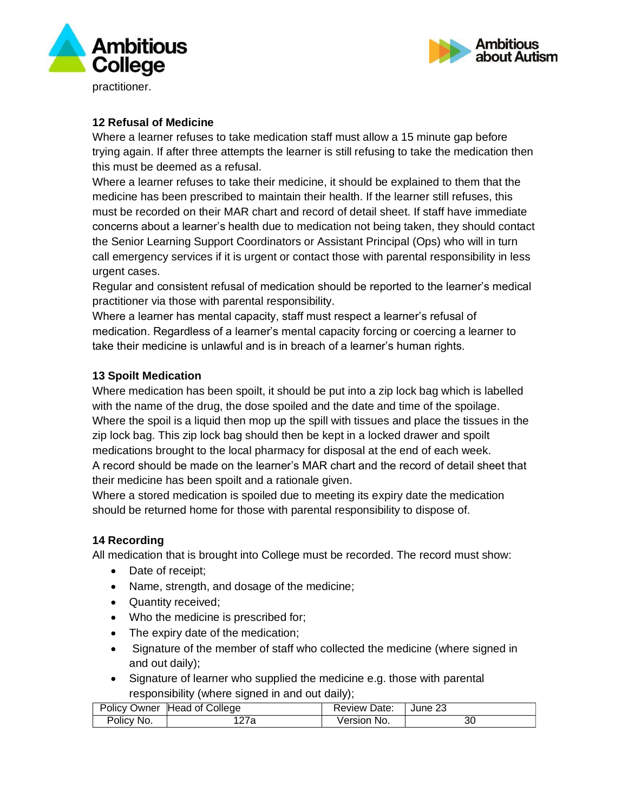



#### **12 Refusal of Medicine**

Where a learner refuses to take medication staff must allow a 15 minute gap before trying again. If after three attempts the learner is still refusing to take the medication then this must be deemed as a refusal.

Where a learner refuses to take their medicine, it should be explained to them that the medicine has been prescribed to maintain their health. If the learner still refuses, this must be recorded on their MAR chart and record of detail sheet. If staff have immediate concerns about a learner's health due to medication not being taken, they should contact the Senior Learning Support Coordinators or Assistant Principal (Ops) who will in turn call emergency services if it is urgent or contact those with parental responsibility in less urgent cases.

Regular and consistent refusal of medication should be reported to the learner's medical practitioner via those with parental responsibility.

Where a learner has mental capacity, staff must respect a learner's refusal of medication. Regardless of a learner's mental capacity forcing or coercing a learner to take their medicine is unlawful and is in breach of a learner's human rights.

## **13 Spoilt Medication**

Where medication has been spoilt, it should be put into a zip lock bag which is labelled with the name of the drug, the dose spoiled and the date and time of the spoilage. Where the spoil is a liquid then mop up the spill with tissues and place the tissues in the zip lock bag. This zip lock bag should then be kept in a locked drawer and spoilt medications brought to the local pharmacy for disposal at the end of each week. A record should be made on the learner's MAR chart and the record of detail sheet that their medicine has been spoilt and a rationale given.

Where a stored medication is spoiled due to meeting its expiry date the medication should be returned home for those with parental responsibility to dispose of.

# **14 Recording**

All medication that is brought into College must be recorded. The record must show:

- Date of receipt;
- Name, strength, and dosage of the medicine;
- Quantity received;
- Who the medicine is prescribed for;
- The expiry date of the medication;
- Signature of the member of staff who collected the medicine (where signed in and out daily);
- Signature of learner who supplied the medicine e.g. those with parental responsibility (where signed in and out daily);

| <b>Policy Owner</b> | Head of College | <b>Review Date:</b> | June 23 |
|---------------------|-----------------|---------------------|---------|
| Policy No.          | 127a            | ≧No.<br>Version     | 3U      |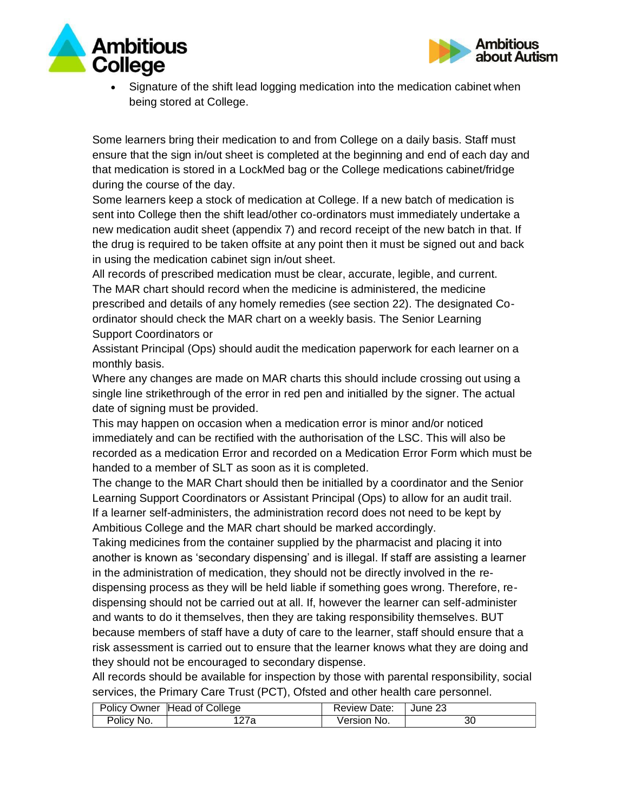

Ambitious about Autism



• Signature of the shift lead logging medication into the medication cabinet when being stored at College.

Some learners bring their medication to and from College on a daily basis. Staff must ensure that the sign in/out sheet is completed at the beginning and end of each day and that medication is stored in a LockMed bag or the College medications cabinet/fridge during the course of the day.

Some learners keep a stock of medication at College. If a new batch of medication is sent into College then the shift lead/other co-ordinators must immediately undertake a new medication audit sheet (appendix 7) and record receipt of the new batch in that. If the drug is required to be taken offsite at any point then it must be signed out and back in using the medication cabinet sign in/out sheet.

All records of prescribed medication must be clear, accurate, legible, and current. The MAR chart should record when the medicine is administered, the medicine prescribed and details of any homely remedies (see section 22). The designated Coordinator should check the MAR chart on a weekly basis. The Senior Learning Support Coordinators or

Assistant Principal (Ops) should audit the medication paperwork for each learner on a monthly basis.

Where any changes are made on MAR charts this should include crossing out using a single line strikethrough of the error in red pen and initialled by the signer. The actual date of signing must be provided.

This may happen on occasion when a medication error is minor and/or noticed immediately and can be rectified with the authorisation of the LSC. This will also be recorded as a medication Error and recorded on a Medication Error Form which must be handed to a member of SLT as soon as it is completed.

The change to the MAR Chart should then be initialled by a coordinator and the Senior Learning Support Coordinators or Assistant Principal (Ops) to allow for an audit trail. If a learner self-administers, the administration record does not need to be kept by Ambitious College and the MAR chart should be marked accordingly.

Taking medicines from the container supplied by the pharmacist and placing it into another is known as 'secondary dispensing' and is illegal. If staff are assisting a learner in the administration of medication, they should not be directly involved in the redispensing process as they will be held liable if something goes wrong. Therefore, redispensing should not be carried out at all. If, however the learner can self-administer and wants to do it themselves, then they are taking responsibility themselves. BUT because members of staff have a duty of care to the learner, staff should ensure that a risk assessment is carried out to ensure that the learner knows what they are doing and they should not be encouraged to secondary dispense.

All records should be available for inspection by those with parental responsibility, social services, the Primary Care Trust (PCT), Ofsted and other health care personnel.

|            | Policy Owner Head of College | <b>Review Date:</b> | June 23 |
|------------|------------------------------|---------------------|---------|
| Policy No. | 127a                         | Version No.         | 30      |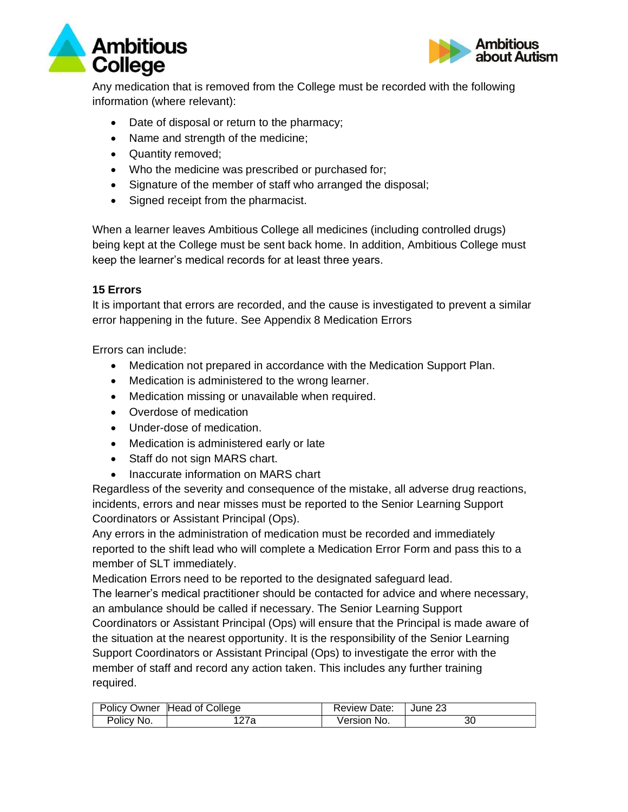



Any medication that is removed from the College must be recorded with the following information (where relevant):

- Date of disposal or return to the pharmacy;
- Name and strength of the medicine;
- Quantity removed;
- Who the medicine was prescribed or purchased for;
- Signature of the member of staff who arranged the disposal;
- Signed receipt from the pharmacist.

When a learner leaves Ambitious College all medicines (including controlled drugs) being kept at the College must be sent back home. In addition, Ambitious College must keep the learner's medical records for at least three years.

# **15 Errors**

It is important that errors are recorded, and the cause is investigated to prevent a similar error happening in the future. See Appendix 8 Medication Errors

Errors can include:

- Medication not prepared in accordance with the Medication Support Plan.
- Medication is administered to the wrong learner.
- Medication missing or unavailable when required.
- Overdose of medication
- Under-dose of medication.
- Medication is administered early or late
- Staff do not sign MARS chart.
- Inaccurate information on MARS chart

Regardless of the severity and consequence of the mistake, all adverse drug reactions, incidents, errors and near misses must be reported to the Senior Learning Support Coordinators or Assistant Principal (Ops).

Any errors in the administration of medication must be recorded and immediately reported to the shift lead who will complete a Medication Error Form and pass this to a member of SLT immediately.

Medication Errors need to be reported to the designated safeguard lead.

The learner's medical practitioner should be contacted for advice and where necessary, an ambulance should be called if necessary. The Senior Learning Support Coordinators or Assistant Principal (Ops) will ensure that the Principal is made aware of the situation at the nearest opportunity. It is the responsibility of the Senior Learning Support Coordinators or Assistant Principal (Ops) to investigate the error with the member of staff and record any action taken. This includes any further training required.

|            | Policy Owner Head of College | <b>Review Date:</b> | June 23 |
|------------|------------------------------|---------------------|---------|
| Policy No. | 127a                         | Version No.         | 30      |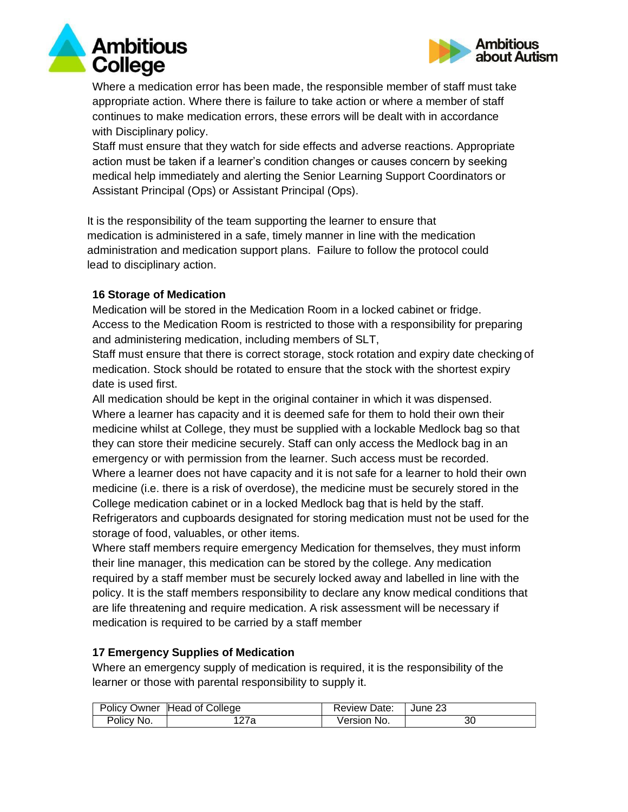



Where a medication error has been made, the responsible member of staff must take appropriate action. Where there is failure to take action or where a member of staff continues to make medication errors, these errors will be dealt with in accordance with Disciplinary policy.

Staff must ensure that they watch for side effects and adverse reactions. Appropriate action must be taken if a learner's condition changes or causes concern by seeking medical help immediately and alerting the Senior Learning Support Coordinators or Assistant Principal (Ops) or Assistant Principal (Ops).

It is the responsibility of the team supporting the learner to ensure that medication is administered in a safe, timely manner in line with the medication administration and medication support plans. Failure to follow the protocol could lead to disciplinary action.

## **16 Storage of Medication**

Medication will be stored in the Medication Room in a locked cabinet or fridge. Access to the Medication Room is restricted to those with a responsibility for preparing and administering medication, including members of SLT,

Staff must ensure that there is correct storage, stock rotation and expiry date checking of medication. Stock should be rotated to ensure that the stock with the shortest expiry date is used first.

All medication should be kept in the original container in which it was dispensed. Where a learner has capacity and it is deemed safe for them to hold their own their medicine whilst at College, they must be supplied with a lockable Medlock bag so that they can store their medicine securely. Staff can only access the Medlock bag in an emergency or with permission from the learner. Such access must be recorded. Where a learner does not have capacity and it is not safe for a learner to hold their own medicine (i.e. there is a risk of overdose), the medicine must be securely stored in the College medication cabinet or in a locked Medlock bag that is held by the staff. Refrigerators and cupboards designated for storing medication must not be used for the storage of food, valuables, or other items.

Where staff members require emergency Medication for themselves, they must inform their line manager, this medication can be stored by the college. Any medication required by a staff member must be securely locked away and labelled in line with the policy. It is the staff members responsibility to declare any know medical conditions that are life threatening and require medication. A risk assessment will be necessary if medication is required to be carried by a staff member

#### **17 Emergency Supplies of Medication**

Where an emergency supply of medication is required, it is the responsibility of the learner or those with parental responsibility to supply it.

| <b>Policy Owner</b> | Head of College | <b>Review Date:</b> | June 23 |
|---------------------|-----------------|---------------------|---------|
| Policy No.          | 127a            | Version No.         | 30      |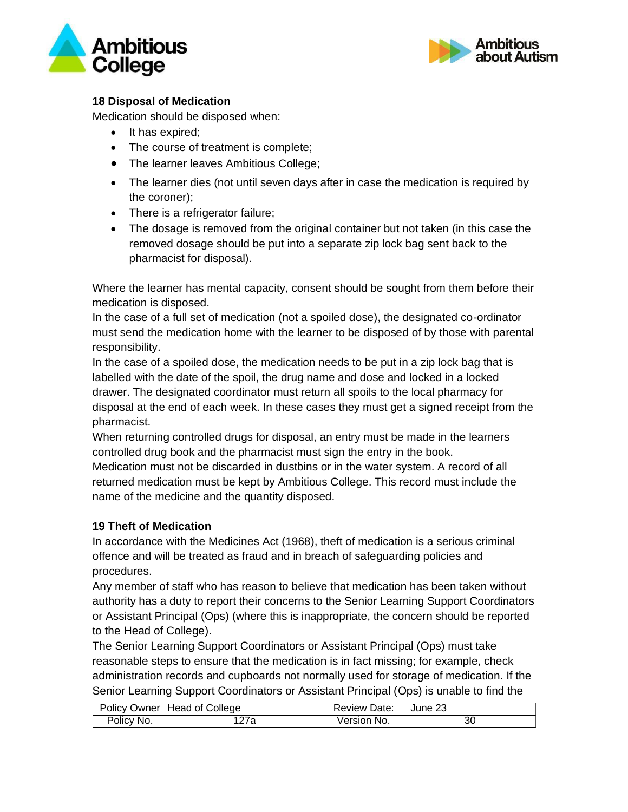



# **18 Disposal of Medication**

Medication should be disposed when:

- It has expired;
- The course of treatment is complete;
- The learner leaves Ambitious College;
- The learner dies (not until seven days after in case the medication is required by the coroner);
- There is a refrigerator failure;
- The dosage is removed from the original container but not taken (in this case the removed dosage should be put into a separate zip lock bag sent back to the pharmacist for disposal).

Where the learner has mental capacity, consent should be sought from them before their medication is disposed.

In the case of a full set of medication (not a spoiled dose), the designated co-ordinator must send the medication home with the learner to be disposed of by those with parental responsibility.

In the case of a spoiled dose, the medication needs to be put in a zip lock bag that is labelled with the date of the spoil, the drug name and dose and locked in a locked drawer. The designated coordinator must return all spoils to the local pharmacy for disposal at the end of each week. In these cases they must get a signed receipt from the pharmacist.

When returning controlled drugs for disposal, an entry must be made in the learners controlled drug book and the pharmacist must sign the entry in the book.

Medication must not be discarded in dustbins or in the water system. A record of all returned medication must be kept by Ambitious College. This record must include the name of the medicine and the quantity disposed.

# **19 Theft of Medication**

In accordance with the Medicines Act (1968), theft of medication is a serious criminal offence and will be treated as fraud and in breach of safeguarding policies and procedures.

Any member of staff who has reason to believe that medication has been taken without authority has a duty to report their concerns to the Senior Learning Support Coordinators or Assistant Principal (Ops) (where this is inappropriate, the concern should be reported to the Head of College).

The Senior Learning Support Coordinators or Assistant Principal (Ops) must take reasonable steps to ensure that the medication is in fact missing; for example, check administration records and cupboards not normally used for storage of medication. If the Senior Learning Support Coordinators or Assistant Principal (Ops) is unable to find the

|            | Policy Owner Head of College | <b>Review Date:</b> | June 23 |
|------------|------------------------------|---------------------|---------|
| Policy No. | 27a                          | Version No.         | 30      |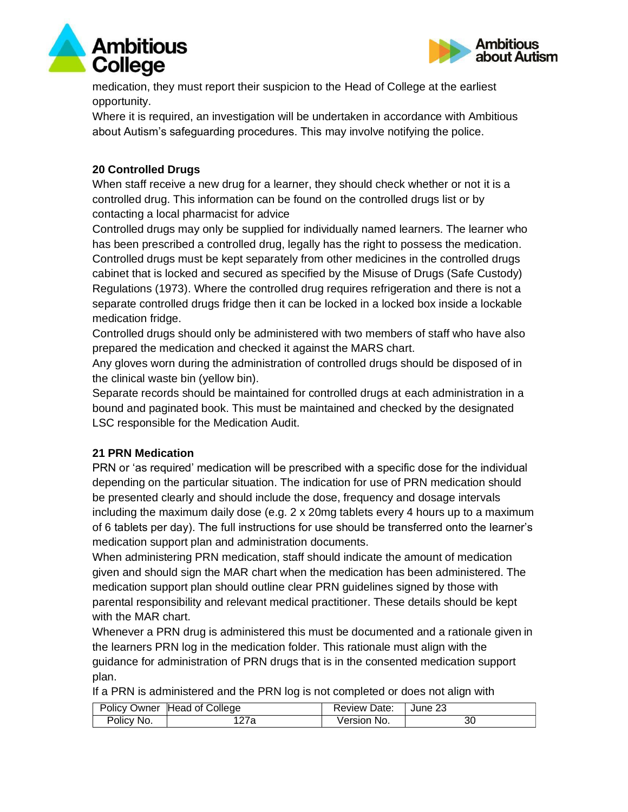



medication, they must report their suspicion to the Head of College at the earliest opportunity.

Where it is required, an investigation will be undertaken in accordance with Ambitious about Autism's safeguarding procedures. This may involve notifying the police.

# **20 Controlled Drugs**

When staff receive a new drug for a learner, they should check whether or not it is a controlled drug. This information can be found on the controlled drugs list or by contacting a local pharmacist for advice

Controlled drugs may only be supplied for individually named learners. The learner who has been prescribed a controlled drug, legally has the right to possess the medication. Controlled drugs must be kept separately from other medicines in the controlled drugs cabinet that is locked and secured as specified by the Misuse of Drugs (Safe Custody) Regulations (1973). Where the controlled drug requires refrigeration and there is not a separate controlled drugs fridge then it can be locked in a locked box inside a lockable medication fridge.

Controlled drugs should only be administered with two members of staff who have also prepared the medication and checked it against the MARS chart.

Any gloves worn during the administration of controlled drugs should be disposed of in the clinical waste bin (yellow bin).

Separate records should be maintained for controlled drugs at each administration in a bound and paginated book. This must be maintained and checked by the designated LSC responsible for the Medication Audit.

# **21 PRN Medication**

PRN or 'as required' medication will be prescribed with a specific dose for the individual depending on the particular situation. The indication for use of PRN medication should be presented clearly and should include the dose, frequency and dosage intervals including the maximum daily dose (e.g. 2 x 20mg tablets every 4 hours up to a maximum of 6 tablets per day). The full instructions for use should be transferred onto the learner's medication support plan and administration documents.

When administering PRN medication, staff should indicate the amount of medication given and should sign the MAR chart when the medication has been administered. The medication support plan should outline clear PRN guidelines signed by those with parental responsibility and relevant medical practitioner. These details should be kept with the MAR chart.

Whenever a PRN drug is administered this must be documented and a rationale given in the learners PRN log in the medication folder. This rationale must align with the guidance for administration of PRN drugs that is in the consented medication support plan.

If a PRN is administered and the PRN log is not completed or does not align with

|            | Policy Owner Head of College | <b>Review Date:</b> | June 23 |
|------------|------------------------------|---------------------|---------|
| Policy No. | 27a                          | Version No.         | ЗС      |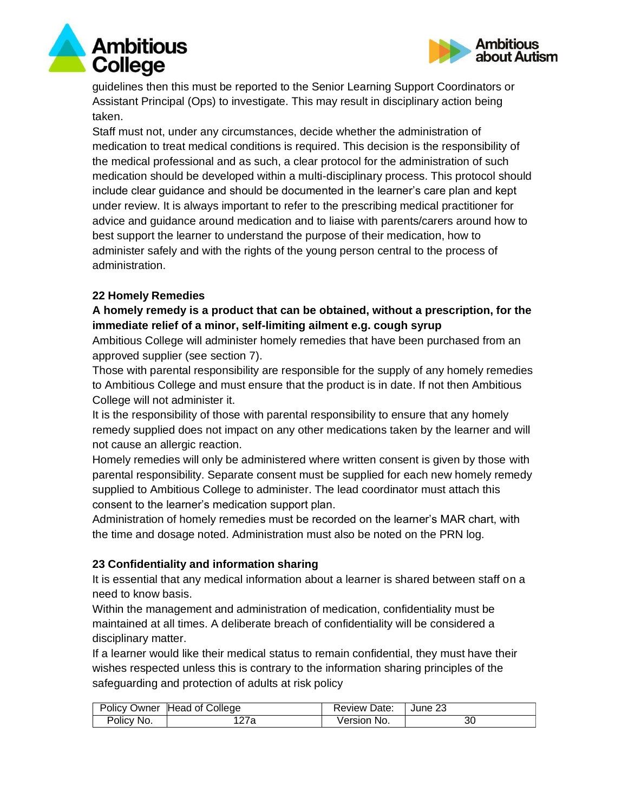guidelines then this must be reported to the Senior Learning Support Coordinators or Assistant Principal (Ops) to investigate. This may result in disciplinary action being taken.

Staff must not, under any circumstances, decide whether the administration of medication to treat medical conditions is required. This decision is the responsibility of the medical professional and as such, a clear protocol for the administration of such medication should be developed within a multi-disciplinary process. This protocol should include clear guidance and should be documented in the learner's care plan and kept under review. It is always important to refer to the prescribing medical practitioner for advice and guidance around medication and to liaise with parents/carers around how to best support the learner to understand the purpose of their medication, how to administer safely and with the rights of the young person central to the process of administration.

## **22 Homely Remedies**

# **A homely remedy is a product that can be obtained, without a prescription, for the immediate relief of a minor, self-limiting ailment e.g. cough syrup**

Ambitious College will administer homely remedies that have been purchased from an approved supplier (see section 7).

Those with parental responsibility are responsible for the supply of any homely remedies to Ambitious College and must ensure that the product is in date. If not then Ambitious College will not administer it.

It is the responsibility of those with parental responsibility to ensure that any homely remedy supplied does not impact on any other medications taken by the learner and will not cause an allergic reaction.

Homely remedies will only be administered where written consent is given by those with parental responsibility. Separate consent must be supplied for each new homely remedy supplied to Ambitious College to administer. The lead coordinator must attach this consent to the learner's medication support plan.

Administration of homely remedies must be recorded on the learner's MAR chart, with the time and dosage noted. Administration must also be noted on the PRN log.

# **23 Confidentiality and information sharing**

It is essential that any medical information about a learner is shared between staff on a need to know basis.

Within the management and administration of medication, confidentiality must be maintained at all times. A deliberate breach of confidentiality will be considered a disciplinary matter.

If a learner would like their medical status to remain confidential, they must have their wishes respected unless this is contrary to the information sharing principles of the safeguarding and protection of adults at risk policy

|            | Policy Owner Head of College | <b>Review Date:</b> | June 23 |
|------------|------------------------------|---------------------|---------|
| Policy No. | 27a                          | Version No.         | 30      |



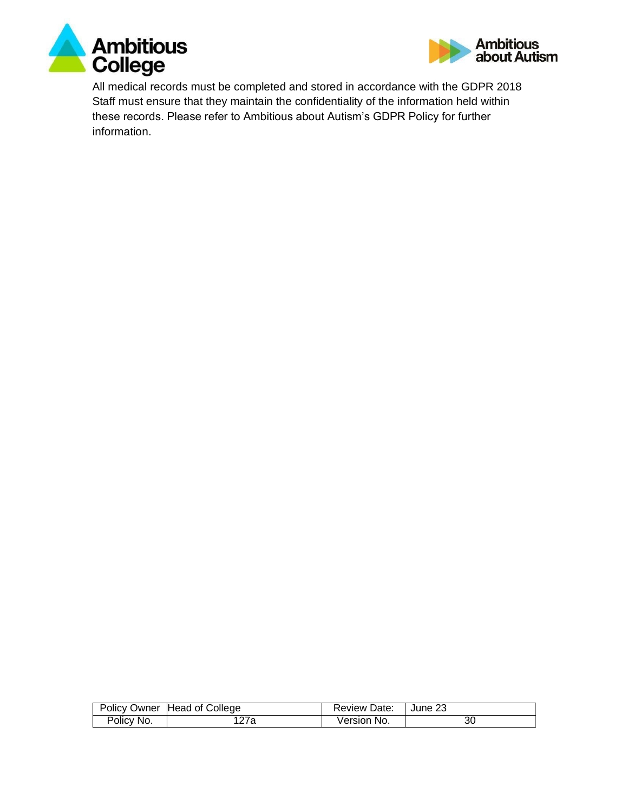



All medical records must be completed and stored in accordance with the GDPR 2018 Staff must ensure that they maintain the confidentiality of the information held within these records. Please refer to Ambitious about Autism's GDPR Policy for further information.

|            | Policy Owner Head of College | Review Date: | June 23 |
|------------|------------------------------|--------------|---------|
| Policy No. | '27a                         | Version No.  | 30      |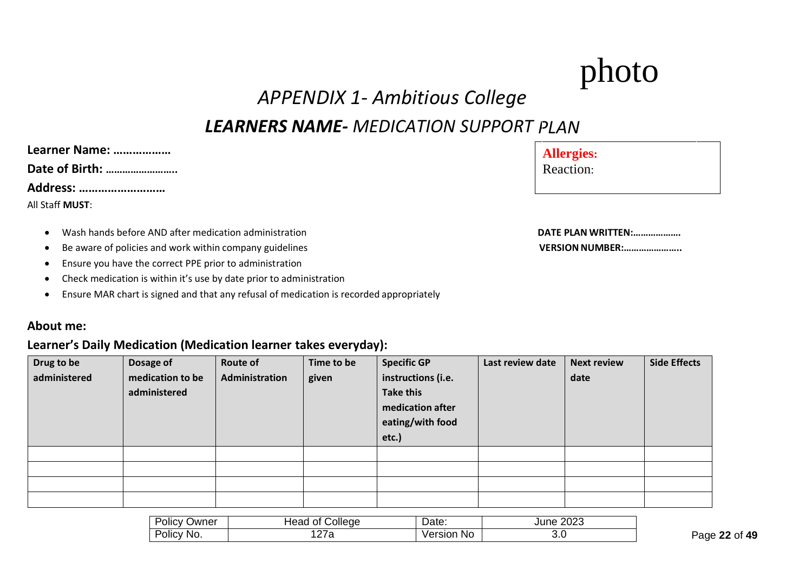# photo

# *APPENDIX 1- Ambitious College*

# *PLAN LEARNERS NAME- MEDICATION SUPPORT*

| Learner Name:   |
|-----------------|
| Date of Birth:  |
| Address:        |
| All Staff MUST: |

- **Wash hands before AND after medication administration**
- Be aware of policies and work within company guidelines
- Ensure you have the correct PPE prior to administration
- Check medication is within it's use by date prior to administration
- Ensure MAR chart is signed and that any refusal of medication is recorded appropriately

#### **About me:**

# **Learner's Daily Medication (Medication learner takes everyday):**

| Drug to be<br>administered | Dosage of<br>medication to be<br>administered | <b>Route of</b><br>Administration | Time to be<br>given | <b>Specific GP</b><br>instructions (i.e.<br><b>Take this</b><br>medication after<br>eating/with food<br>etc.) | Last review date | <b>Next review</b><br>date | <b>Side Effects</b> |
|----------------------------|-----------------------------------------------|-----------------------------------|---------------------|---------------------------------------------------------------------------------------------------------------|------------------|----------------------------|---------------------|
|                            |                                               |                                   |                     |                                                                                                               |                  |                            |                     |
|                            |                                               |                                   |                     |                                                                                                               |                  |                            |                     |
|                            |                                               |                                   |                     |                                                                                                               |                  |                            |                     |
|                            |                                               |                                   |                     |                                                                                                               |                  |                            |                     |

| $\overline{\phantom{0}}$<br>שwner<br>$\overline{\phantom{a}}$<br>UIIC<br>$\mathbf{v}$ | College:<br>. OT<br>неас | D <sub>0</sub><br>Dalo. | nnnn<br>June<br>20ZJ |
|---------------------------------------------------------------------------------------|--------------------------|-------------------------|----------------------|
| No.<br>טווט                                                                           | $\sim$ $\sim$<br>21 a    | No<br>ersior<br>ve.     | ◡.◡<br>$-$           |

| <b>Allergies:</b> |  |
|-------------------|--|
| <b>Reaction:</b>  |  |

| DATE PLAN WRITTEN:     |  |
|------------------------|--|
| <b>VERSION NUMBER:</b> |  |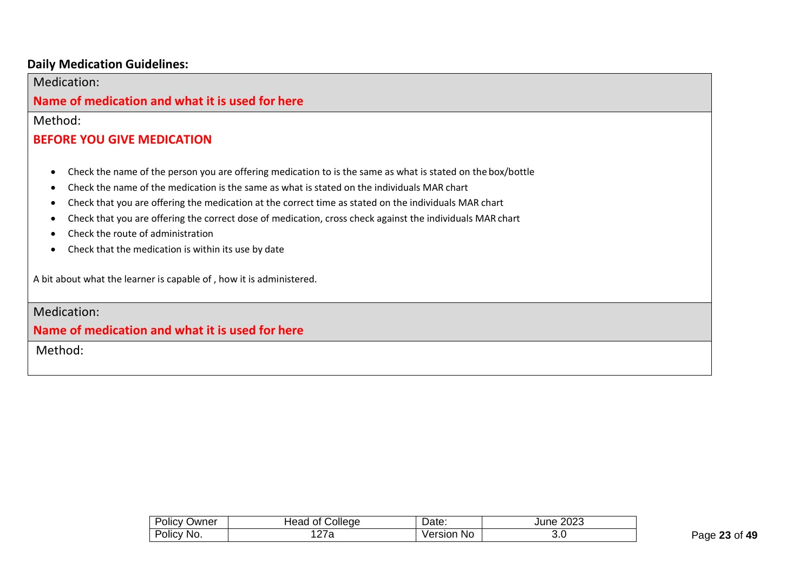# **Daily Medication Guidelines:**

| Medication:                                                                                                                                                                                                                                                                                                                                                                                                                                                                                                                                                                                        |
|----------------------------------------------------------------------------------------------------------------------------------------------------------------------------------------------------------------------------------------------------------------------------------------------------------------------------------------------------------------------------------------------------------------------------------------------------------------------------------------------------------------------------------------------------------------------------------------------------|
| Name of medication and what it is used for here                                                                                                                                                                                                                                                                                                                                                                                                                                                                                                                                                    |
| Method:                                                                                                                                                                                                                                                                                                                                                                                                                                                                                                                                                                                            |
| <b>BEFORE YOU GIVE MEDICATION</b>                                                                                                                                                                                                                                                                                                                                                                                                                                                                                                                                                                  |
| Check the name of the person you are offering medication to is the same as what is stated on the box/bottle<br>$\bullet$<br>Check the name of the medication is the same as what is stated on the individuals MAR chart<br>$\bullet$<br>Check that you are offering the medication at the correct time as stated on the individuals MAR chart<br>$\bullet$<br>Check that you are offering the correct dose of medication, cross check against the individuals MAR chart<br>$\bullet$<br>Check the route of administration<br>$\bullet$<br>Check that the medication is within its use by date<br>٠ |
| A bit about what the learner is capable of, how it is administered.                                                                                                                                                                                                                                                                                                                                                                                                                                                                                                                                |
| Medication:                                                                                                                                                                                                                                                                                                                                                                                                                                                                                                                                                                                        |
| Name of medication and what it is used for here                                                                                                                                                                                                                                                                                                                                                                                                                                                                                                                                                    |

Method:

| - -                | College          | Date:                | ∩∩∩  |  |  |
|--------------------|------------------|----------------------|------|--|--|
| Jwner              | Head             |                      | June |  |  |
| POIICV             | Οt               |                      | ∠∪∠ാ |  |  |
| -<br>No.<br>Policy | ۰a<br><u>_ 1</u> | <b>No</b><br>/ersior | ◡.◡  |  |  |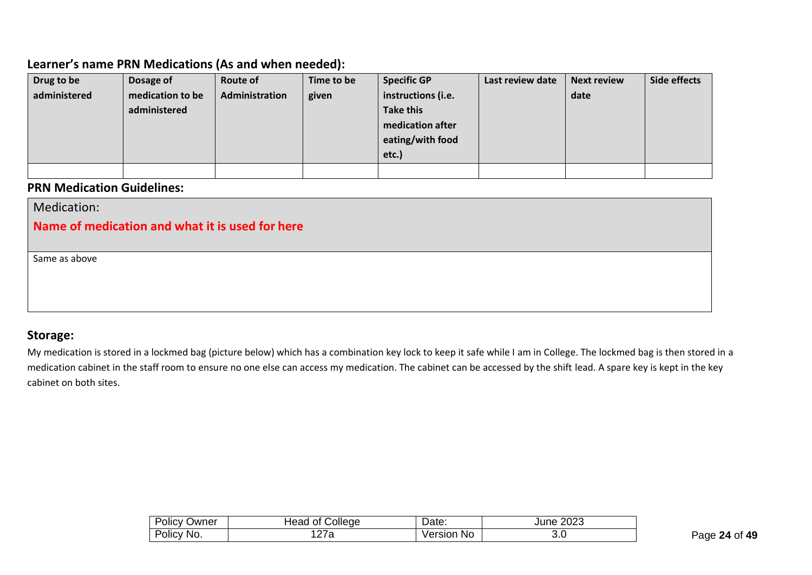# **Learner's name PRN Medications (As and when needed):**

| Drug to be   | Dosage of        | Route of       | Time to be | <b>Specific GP</b> | Last review date | <b>Next review</b> | Side effects |
|--------------|------------------|----------------|------------|--------------------|------------------|--------------------|--------------|
| administered | medication to be | Administration | given      | instructions (i.e. |                  | date               |              |
|              | administered     |                |            | <b>Take this</b>   |                  |                    |              |
|              |                  |                |            | medication after   |                  |                    |              |
|              |                  |                |            | eating/with food   |                  |                    |              |
|              |                  |                |            | etc.)              |                  |                    |              |
|              |                  |                |            |                    |                  |                    |              |

# **PRN Medication Guidelines:**

# **Storage:**

My medication is stored in a lockmed bag (picture below) which has a combination key lock to keep it safe while I am in College. The lockmed bag is then stored in a medication cabinet in the staff room to ensure no one else can access my medication. The cabinet can be accessed by the shift lead. A spare key is kept in the key cabinet on both sites.

| . .<br>$\overline{\phantom{a}}$<br>Policy<br>Jwner | College<br>0t<br>⊣ead                   | Date:          | ∩∩∩<br>June<br>∠∪∠ാ |
|----------------------------------------------------|-----------------------------------------|----------------|---------------------|
| Policy.<br>No.                                     | $\overline{\phantom{a}}$<br>a<br>$\sim$ | √ersior<br>.No | v.v                 |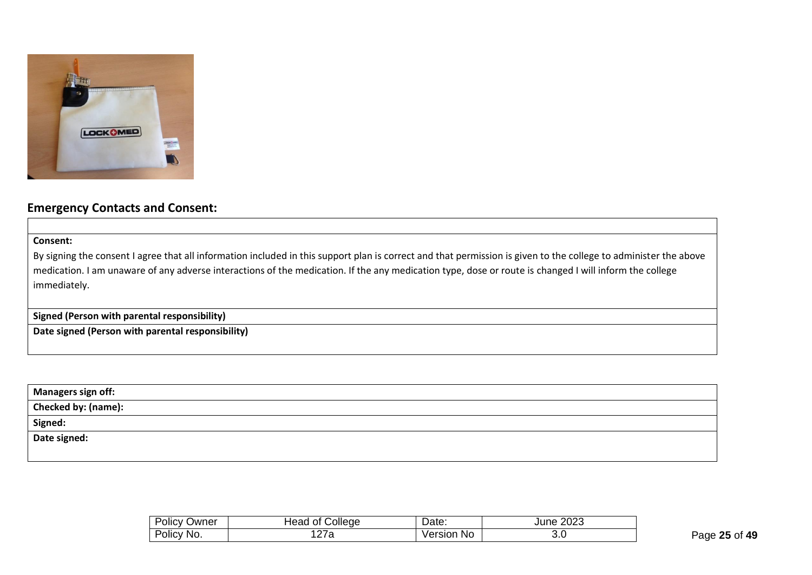

# **Emergency Contacts and Consent:**

**Consent:**

By signing the consent I agree that all information included in this support plan is correct and that permission is given to the college to administer the above medication. I am unaware of any adverse interactions of the medication. If the any medication type, dose or route is changed I will inform the college immediately.

**Signed (Person with parental responsibility)**

**Date signed (Person with parental responsibility)**

| <b>Managers sign off:</b>  |  |
|----------------------------|--|
| <b>Checked by: (name):</b> |  |
| Signed:                    |  |
| Date signed:               |  |
|                            |  |

| . .<br>-<br>⊃wner<br>Olicy | College<br>οt<br>tead | -<br>Date:    | 0000<br>June<br>∠∪∠ാ |
|----------------------------|-----------------------|---------------|----------------------|
| -<br>∶No.<br>Policy        | <u>.</u>              | No<br>Version | v.v                  |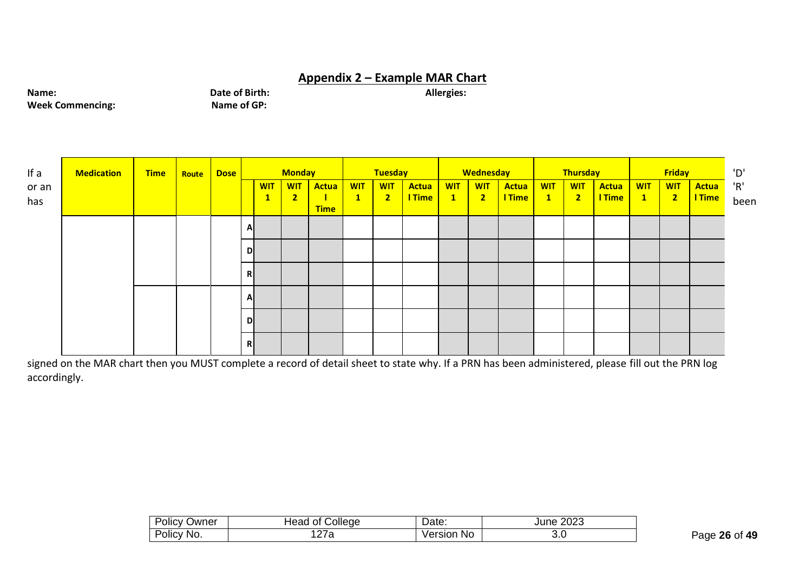# **Appendix 2 – Example MAR Chart**

**Name: Date of Birth: Date of Birth: Allergies: Allergies: Week Commencing: Allergies: Name of GP: Allergies: Allergies: Allergies: Allergies: Allergies: Allergies: Allergies: Allergies: All Week Commencing:** 

| If a         | <b>Medication</b> | <b>Time</b> | Route | Dose |   |                            | <b>Monday</b>                |                      |                            | Tuesday                      |                 |                               | <b>Wednesday</b>                      |                 |                           | <b>Thursday</b>              |                        |                 | <b>Friday</b>                |                 |
|--------------|-------------------|-------------|-------|------|---|----------------------------|------------------------------|----------------------|----------------------------|------------------------------|-----------------|-------------------------------|---------------------------------------|-----------------|---------------------------|------------------------------|------------------------|-----------------|------------------------------|-----------------|
| or an<br>has |                   |             |       |      |   | <b>WIT</b><br>$\mathbf{1}$ | <b>WIT</b><br>$\overline{2}$ | Actua<br><b>Time</b> | <b>WIT</b><br>$\mathbf{1}$ | <b>WIT</b><br>2 <sub>1</sub> | Actua<br>I Time | <b>WIT</b><br>$\vert 1 \vert$ | <b>WIT</b><br>$\overline{\mathbf{2}}$ | Actua<br>I Time | <b>WIT</b><br>$\boxed{1}$ | <b>WIT</b><br>$\overline{2}$ | Actua<br><b>I</b> Time | <b>WIT</b><br>1 | <b>WIT</b><br>2 <sub>1</sub> | Actua<br>I Time |
|              |                   |             |       |      | A |                            |                              |                      |                            |                              |                 |                               |                                       |                 |                           |                              |                        |                 |                              |                 |
|              |                   |             |       |      | D |                            |                              |                      |                            |                              |                 |                               |                                       |                 |                           |                              |                        |                 |                              |                 |
|              |                   |             |       |      | R |                            |                              |                      |                            |                              |                 |                               |                                       |                 |                           |                              |                        |                 |                              |                 |
|              |                   |             |       |      | A |                            |                              |                      |                            |                              |                 |                               |                                       |                 |                           |                              |                        |                 |                              |                 |
|              |                   |             |       |      | D |                            |                              |                      |                            |                              |                 |                               |                                       |                 |                           |                              |                        |                 |                              |                 |
|              |                   |             |       |      | R |                            |                              |                      |                            |                              |                 |                               |                                       |                 |                           |                              |                        |                 |                              |                 |

signed on the MAR chart then you MUST complete a record of detail sheet to state why. If a PRN has been administered, please fill out the PRN log accordingly.

| . .<br>∽<br>)wner<br>,,,,<br>$\ldots$ v | plleae<br>$\sim$<br>-- | 10.12<br>υαισ. | nnnn<br>.uzu |  |  |  |
|-----------------------------------------|------------------------|----------------|--------------|--|--|--|
| NO.<br>U⊞C                              | $\sim$ $-$<br>ີ        | No<br>ersior   | ◡.◡          |  |  |  |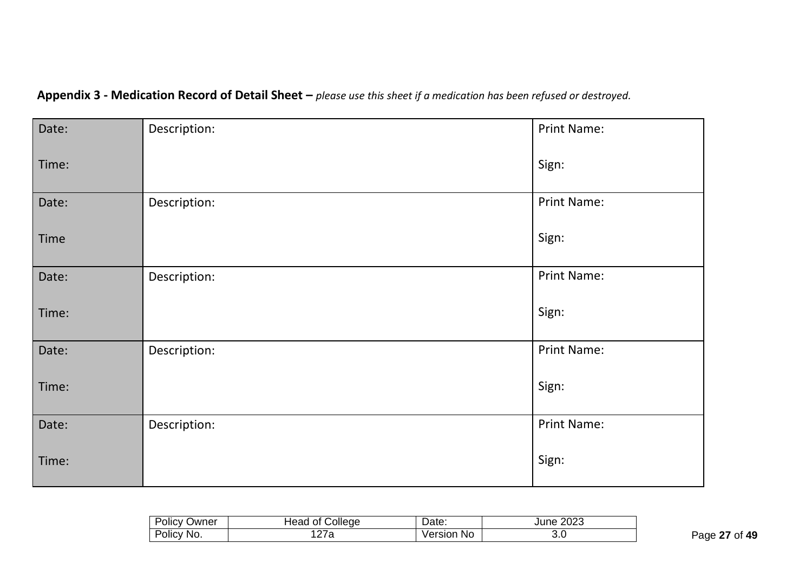| Date: | Description: | <b>Print Name:</b> |
|-------|--------------|--------------------|
| Time: |              | Sign:              |
| Date: | Description: | Print Name:        |
| Time  |              | Sign:              |
| Date: | Description: | Print Name:        |
| Time: |              | Sign:              |
| Date: | Description: | Print Name:        |
| Time: |              | Sign:              |
| Date: | Description: | Print Name:        |
| Time: |              | Sign:              |

**Appendix 3 - Medication Record of Detail Sheet –** *please use this sheet if a medication has been refused or destroyed.*

| . .<br>-<br>Jwner<br>זונ  | College<br>ΩL<br>╍<br>. .<br>icau | $\ddotsc$<br>Dale.  | 0.000<br>ne.<br>-UZJ.<br>JU |
|---------------------------|-----------------------------------|---------------------|-----------------------------|
| _<br>∵No.<br><b>JIIC'</b> | 21 a                              | No<br>ersion<br>Ve. | v.v                         |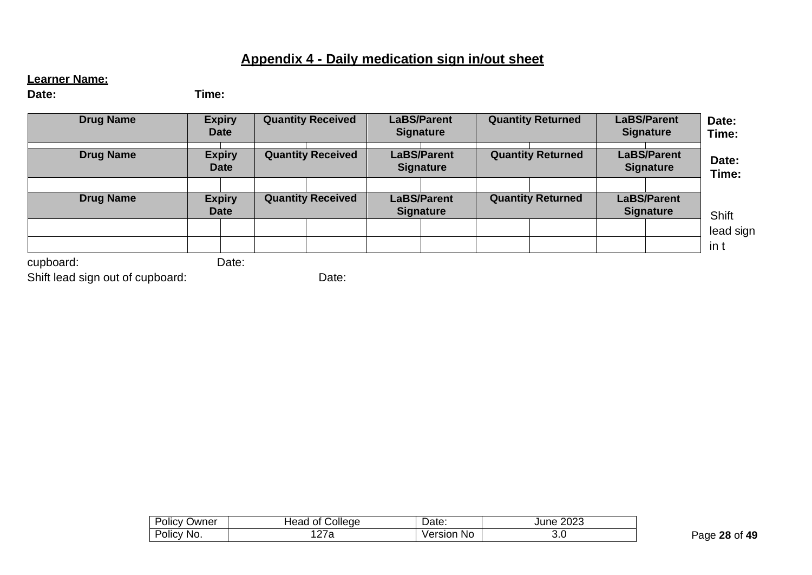# **Appendix 4 - Daily medication sign in/out sheet**

# **Learner Name:**

**Date: Time:**

| <b>Drug Name</b> | <b>Expiry</b><br><b>Date</b> | <b>Quantity Received</b> | <b>LaBS/Parent</b><br><b>Signature</b> | <b>Quantity Returned</b> | <b>LaBS/Parent</b><br><b>Signature</b> | Date:<br>Time:    |
|------------------|------------------------------|--------------------------|----------------------------------------|--------------------------|----------------------------------------|-------------------|
| <b>Drug Name</b> | <b>Expiry</b><br><b>Date</b> | <b>Quantity Received</b> | <b>LaBS/Parent</b><br><b>Signature</b> | <b>Quantity Returned</b> | <b>LaBS/Parent</b><br><b>Signature</b> | Date:<br>Time:    |
| <b>Drug Name</b> | <b>Expiry</b><br><b>Date</b> | <b>Quantity Received</b> | <b>LaBS/Parent</b><br><b>Signature</b> | <b>Quantity Returned</b> | <b>LaBS/Parent</b><br><b>Signature</b> | Shift             |
|                  |                              |                          |                                        |                          |                                        | lead sign<br>in t |
| cupboard:        | Date:                        |                          |                                        |                          |                                        |                   |

Shift lead sign out of cupboard:

Date:

| -<br>שעΩ<br>$\sim$<br>ັນIICV ∶ | ollege<br>Head<br>Ωt   | 101c<br>∪ale.        | ∩∩∩<br>∠∪∠ು |
|--------------------------------|------------------------|----------------------|-------------|
| יסווכ∨<br>No.                  | $\sim$ $\sim$<br>ı∠ı a | No<br>ersion<br>/er: | ◡.◡         |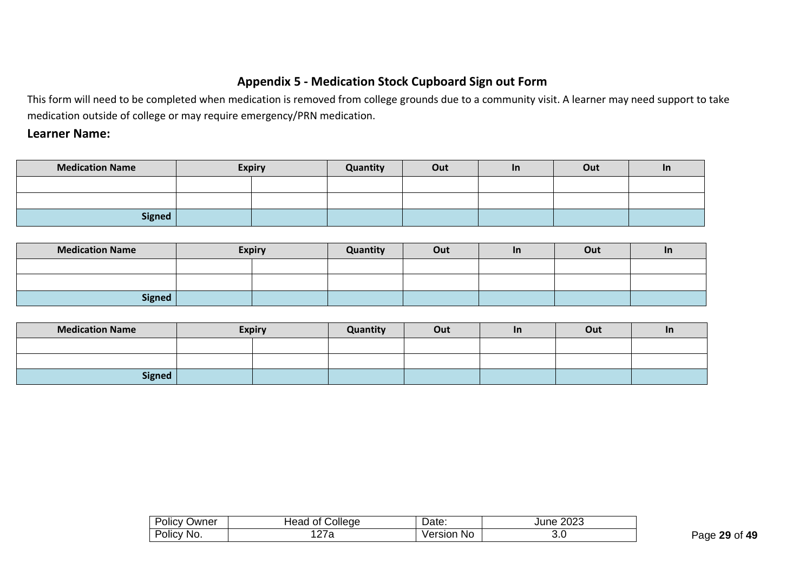# **Appendix 5 - Medication Stock Cupboard Sign out Form**

This form will need to be completed when medication is removed from college grounds due to a community visit. A learner may need support to take medication outside of college or may require emergency/PRN medication.

# **Learner Name:**

| <b>Medication Name</b> | <b>Expiry</b> |  | Quantity | Out | <u>In</u> | Out | <u>In</u> |
|------------------------|---------------|--|----------|-----|-----------|-----|-----------|
|                        |               |  |          |     |           |     |           |
|                        |               |  |          |     |           |     |           |
| <b>Signed</b>          |               |  |          |     |           |     |           |

| <b>Medication Name</b> | <b>Expiry</b> | Quantity | Out | <u>In</u> | Out | <u>in</u> |
|------------------------|---------------|----------|-----|-----------|-----|-----------|
|                        |               |          |     |           |     |           |
|                        |               |          |     |           |     |           |
| <b>Signed</b>          |               |          |     |           |     |           |

| <b>Medication Name</b> | <b>Expiry</b> | Quantity | Out | <u>In</u> | Out | <u>In</u> |
|------------------------|---------------|----------|-----|-----------|-----|-----------|
|                        |               |          |     |           |     |           |
|                        |               |          |     |           |     |           |
| <b>Signed</b>          |               |          |     |           |     |           |

| .<br>Jwner<br>POIICY       | College<br>Ωt        | -<br>$10+$<br>Dale. | 2023<br>June |
|----------------------------|----------------------|---------------------|--------------|
| . .<br>No.<br><b>OlICV</b> | --<br>$\overline{a}$ | Version<br>No       | ◡.◡          |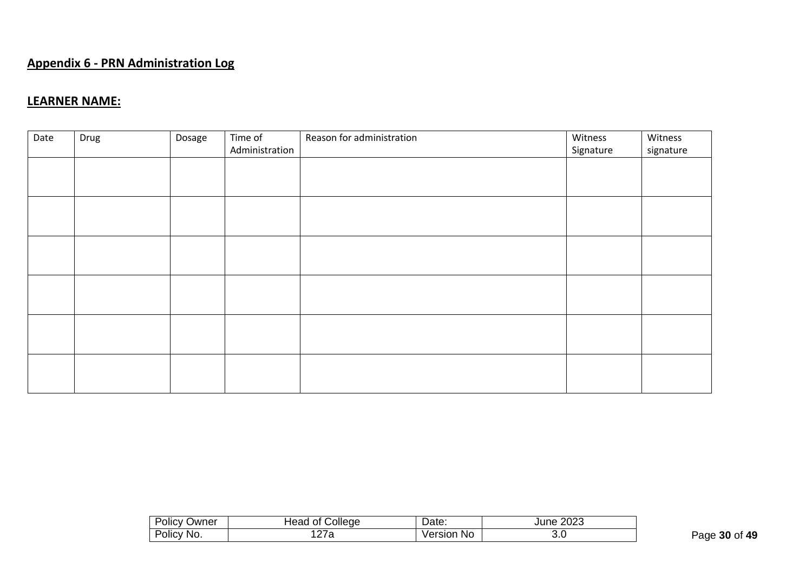# **Appendix 6 - PRN Administration Log**

# **LEARNER NAME:**

| Date | Drug | Dosage | Time of<br>Administration | Reason for administration | Witness<br>Signature | Witness<br>signature |
|------|------|--------|---------------------------|---------------------------|----------------------|----------------------|
|      |      |        |                           |                           |                      |                      |
|      |      |        |                           |                           |                      |                      |
|      |      |        |                           |                           |                      |                      |
|      |      |        |                           |                           |                      |                      |
|      |      |        |                           |                           |                      |                      |
|      |      |        |                           |                           |                      |                      |

| - -<br>)wner<br>⊃licy ∂ | College<br>Ωt<br>ıcau              | Date:        | 2023<br>ne |
|-------------------------|------------------------------------|--------------|------------|
| NO.<br>⊃licy ⊺          | --<br>$\overline{a}$<br><u>_ 1</u> | No<br>ersion | o.u        |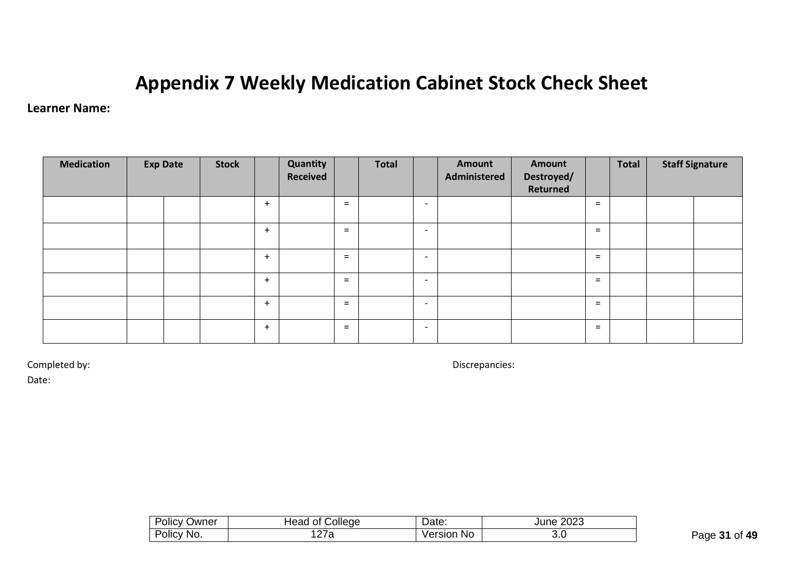# **Appendix 7 Weekly Medication Cabinet Stock Check Sheet**

# **Learner Name:**

| <b>Medication</b> | <b>Exp Date</b> | <b>Stock</b> |     | Quantity<br><b>Received</b> |     | <b>Total</b> |                          | Amount<br>Administered | Amount<br>Destroyed/<br>Returned |     | Total | <b>Staff Signature</b> |
|-------------------|-----------------|--------------|-----|-----------------------------|-----|--------------|--------------------------|------------------------|----------------------------------|-----|-------|------------------------|
|                   |                 |              | $+$ |                             | $=$ |              | $\overline{\phantom{0}}$ |                        |                                  | $=$ |       |                        |
|                   |                 |              | $+$ |                             | $=$ |              | $\overline{\phantom{a}}$ |                        |                                  | $=$ |       |                        |
|                   |                 |              | $+$ |                             | $=$ |              | $\overline{\phantom{a}}$ |                        |                                  | $=$ |       |                        |
|                   |                 |              | $+$ |                             | $=$ |              | $\overline{\phantom{0}}$ |                        |                                  | $=$ |       |                        |
|                   |                 |              | $+$ |                             | $=$ |              | $\overline{\phantom{0}}$ |                        |                                  | $=$ |       |                        |
|                   |                 |              | $+$ |                             | $=$ |              | $\overline{\phantom{0}}$ |                        |                                  | $=$ |       |                        |

Completed by: Discrepancies:

Date:

| -<br>Jwner<br>OIIC<br>$\mathbf{v}$ | pliede<br>⊣еао<br>~ | $10+2$<br>Date:     | 2023<br>ıne<br>JU |
|------------------------------------|---------------------|---------------------|-------------------|
| NO.<br>OIIC'<br>____               | <u>.</u><br>ັ       | No<br>ersion<br>ver | ◡.◡               |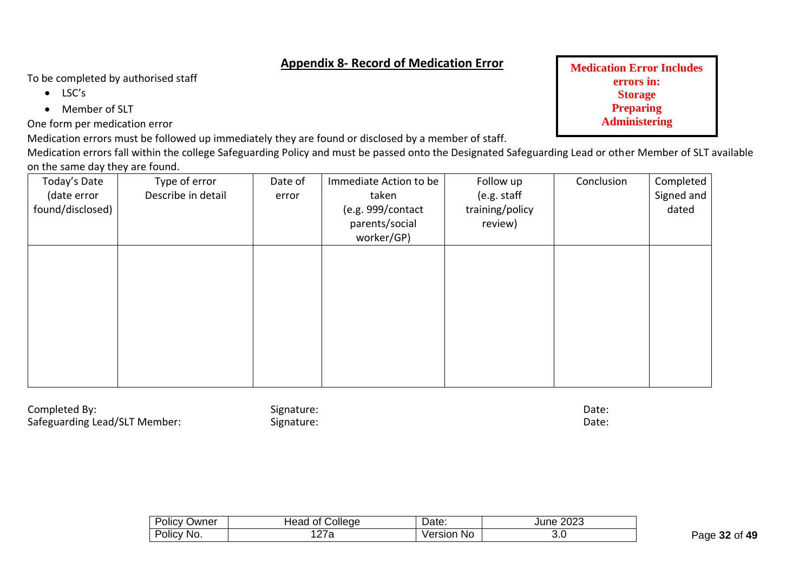# **Appendix 8- Record of Medication Error**

To be completed by authorised staff

- LSC's
- Member of SLT

One form per medication error

Medication errors must be followed up immediately they are found or disclosed by a member of staff.

Medication errors fall within the college Safeguarding Policy and must be passed onto the Designated Safeguarding Lead or other Member of SLT available on the same day they are found.

| Today's Date<br>(date error<br>found/disclosed) | Type of error<br>Describe in detail | Date of<br>error | Immediate Action to be<br>taken<br>(e.g. 999/contact<br>parents/social<br>worker/GP) | Follow up<br>(e.g. staff<br>training/policy<br>review) | Conclusion | Completed<br>Signed and<br>dated |
|-------------------------------------------------|-------------------------------------|------------------|--------------------------------------------------------------------------------------|--------------------------------------------------------|------------|----------------------------------|
|                                                 |                                     |                  |                                                                                      |                                                        |            |                                  |
|                                                 |                                     |                  |                                                                                      |                                                        |            |                                  |

Completed By: Date: Signature: Signature: Date: Date: Date: Date: Date: Date: Date: Date: Date: Date: Date: Date: Date: Date: Date: Date: Date: Date: Date: Date: Date: Date: Date: Date: Date: Date: Date: Date: Date: Date: Safeguarding Lead/SLT Member: Signature: Signature: Date: Date: Date:

| D∩                           | ollege <sup>'</sup>   | Date:         | 2023 |
|------------------------------|-----------------------|---------------|------|
| )wner                        | ∃eao                  |               | June |
| <b>Olicy</b>                 | Οt                    |               | ___  |
| Dr.<br>'No.<br>olicy<br>____ | --<br>a<br><u>_ 1</u> | /ersion<br>No | ◡.◡  |

**Medication Error Includes errors in: Storage Preparing Administering**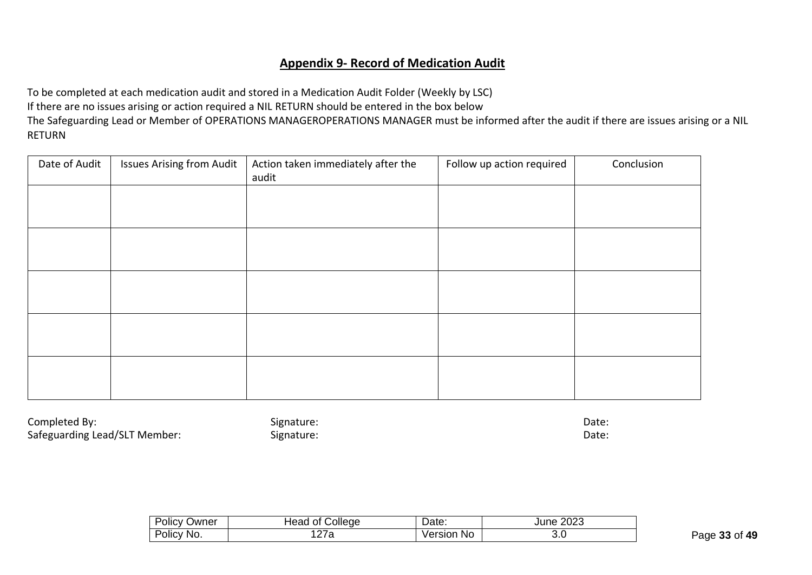# **Appendix 9- Record of Medication Audit**

To be completed at each medication audit and stored in a Medication Audit Folder (Weekly by LSC) If there are no issues arising or action required a NIL RETURN should be entered in the box below The Safeguarding Lead or Member of OPERATIONS MANAGEROPERATIONS MANAGER must be informed after the audit if there are issues arising or a NIL RETURN

| Date of Audit | <b>Issues Arising from Audit</b> | Action taken immediately after the<br>audit | Follow up action required | Conclusion |
|---------------|----------------------------------|---------------------------------------------|---------------------------|------------|
|               |                                  |                                             |                           |            |
|               |                                  |                                             |                           |            |
|               |                                  |                                             |                           |            |
|               |                                  |                                             |                           |            |
|               |                                  |                                             |                           |            |

Completed By: Completed By: Completed By: Completed By: Completed By: Completed By: Completed By: Complete: Complete: Complete: Complete: Complete: Complete: Complete: Complete: Complete: Complete: Complete: Complete: Comp Safeguarding Lead/SLT Member: Signature: Signature: Date: Date: Date: Date:

| .<br>שwner<br><b>JIICV</b><br>$\sim$ $\sim$ | ollege<br>lead<br>Οt | Date:         | 0.000<br>June<br>∠∪∠ാ<br>____ |
|---------------------------------------------|----------------------|---------------|-------------------------------|
| NO.<br>Olic'                                | __                   | Version<br>N0 | v.v                           |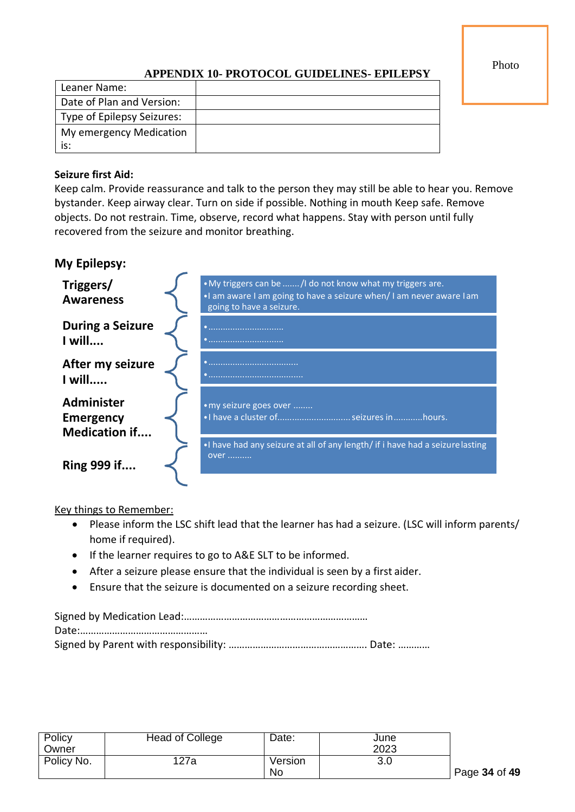Photo

# **APPENDIX 10- PROTOCOL GUIDELINES- EPILEPSY**

| Leaner Name:               |  |
|----------------------------|--|
| Date of Plan and Version:  |  |
| Type of Epilepsy Seizures: |  |
| My emergency Medication    |  |
| is:                        |  |

# **Seizure first Aid:**

Keep calm. Provide reassurance and talk to the person they may still be able to hear you. Remove bystander. Keep airway clear. Turn on side if possible. Nothing in mouth Keep safe. Remove objects. Do not restrain. Time, observe, record what happens. Stay with person until fully recovered from the seizure and monitor breathing.

# **My Epilepsy:**

| Triggers/<br><b>Awareness</b>                                 | . My triggers can be  /I do not know what my triggers are.<br>. I am aware I am going to have a seizure when/I am never aware I am<br>going to have a seizure. |
|---------------------------------------------------------------|----------------------------------------------------------------------------------------------------------------------------------------------------------------|
| <b>During a Seizure</b><br>I will                             |                                                                                                                                                                |
| After my seizure<br>I will                                    |                                                                                                                                                                |
| <b>Administer</b><br><b>Emergency</b><br><b>Medication if</b> | • my seizure goes over<br>. I have a cluster of  seizures in hours.                                                                                            |
| Ring 999 if                                                   | . I have had any seizure at all of any length/ if i have had a seizure lasting<br>over                                                                         |

Key things to Remember:

- Please inform the LSC shift lead that the learner has had a seizure. (LSC will inform parents/ home if required).
- If the learner requires to go to A&E SLT to be informed.
- After a seizure please ensure that the individual is seen by a first aider.
- Ensure that the seizure is documented on a seizure recording sheet.

Signed by Medication Lead:…………………………………………………………… Date:………………………………………… Signed by Parent with responsibility: ………………………………………………………… Date: ……………

| Policy     | <b>Head of College</b> | Date:   | June |
|------------|------------------------|---------|------|
| Owner      |                        |         | 2023 |
| Policy No. | 127a                   | Version | 3.0  |
|            |                        | No      |      |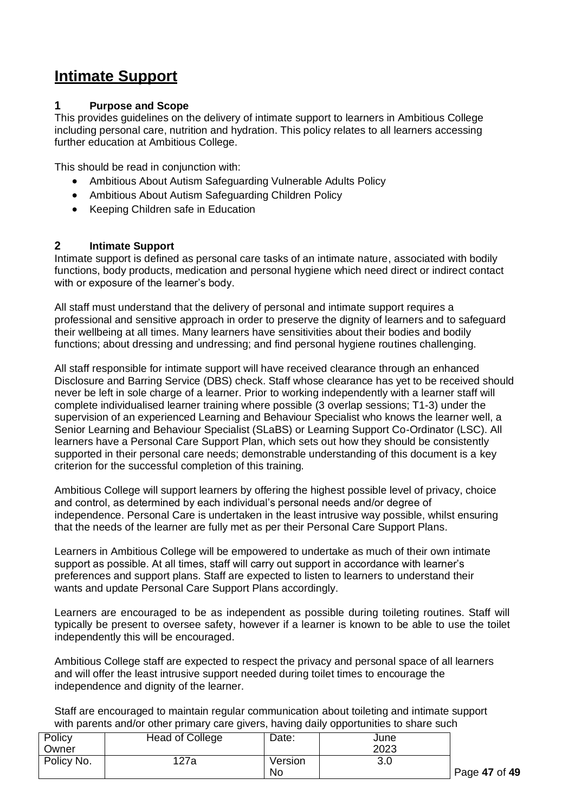# **Intimate Support**

## **1 Purpose and Scope**

This provides guidelines on the delivery of intimate support to learners in Ambitious College including personal care, nutrition and hydration. This policy relates to all learners accessing further education at Ambitious College.

This should be read in conjunction with:

- Ambitious About Autism Safeguarding Vulnerable Adults Policy
- Ambitious About Autism Safeguarding Children Policy
- Keeping Children safe in Education

## **2 Intimate Support**

Intimate support is defined as personal care tasks of an intimate nature, associated with bodily functions, body products, medication and personal hygiene which need direct or indirect contact with or exposure of the learner's body.

All staff must understand that the delivery of personal and intimate support requires a professional and sensitive approach in order to preserve the dignity of learners and to safeguard their wellbeing at all times. Many learners have sensitivities about their bodies and bodily functions; about dressing and undressing; and find personal hygiene routines challenging.

All staff responsible for intimate support will have received clearance through an enhanced Disclosure and Barring Service (DBS) check. Staff whose clearance has yet to be received should never be left in sole charge of a learner. Prior to working independently with a learner staff will complete individualised learner training where possible (3 overlap sessions; T1-3) under the supervision of an experienced Learning and Behaviour Specialist who knows the learner well, a Senior Learning and Behaviour Specialist (SLaBS) or Learning Support Co-Ordinator (LSC). All learners have a Personal Care Support Plan, which sets out how they should be consistently supported in their personal care needs; demonstrable understanding of this document is a key criterion for the successful completion of this training.

Ambitious College will support learners by offering the highest possible level of privacy, choice and control, as determined by each individual's personal needs and/or degree of independence. Personal Care is undertaken in the least intrusive way possible, whilst ensuring that the needs of the learner are fully met as per their Personal Care Support Plans.

Learners in Ambitious College will be empowered to undertake as much of their own intimate support as possible. At all times, staff will carry out support in accordance with learner's preferences and support plans. Staff are expected to listen to learners to understand their wants and update Personal Care Support Plans accordingly.

Learners are encouraged to be as independent as possible during toileting routines. Staff will typically be present to oversee safety, however if a learner is known to be able to use the toilet independently this will be encouraged.

Ambitious College staff are expected to respect the privacy and personal space of all learners and will offer the least intrusive support needed during toilet times to encourage the independence and dignity of the learner.

Staff are encouraged to maintain regular communication about toileting and intimate support with parents and/or other primary care givers, having daily opportunities to share such

| Policy     | Head of College | Date:   | June |
|------------|-----------------|---------|------|
| Owner      |                 |         | 2023 |
| Policy No. | 127a            | Version | 3.0  |
|            |                 | No      |      |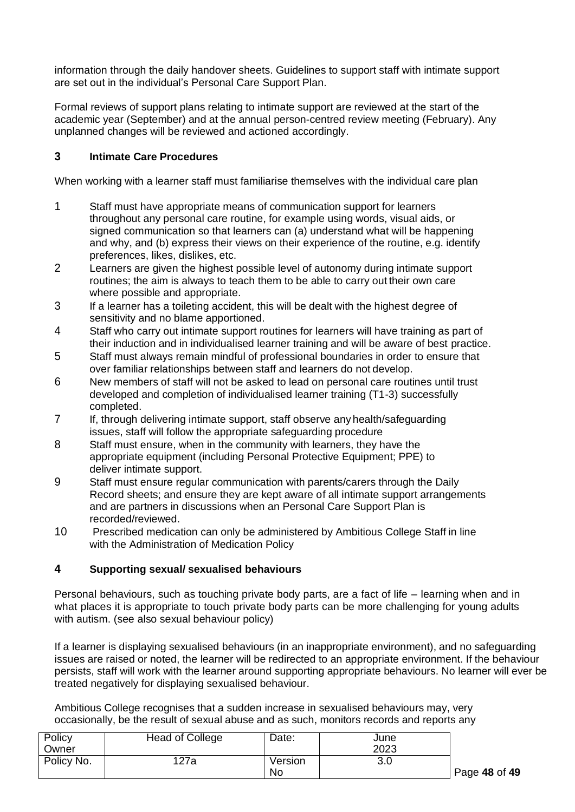information through the daily handover sheets. Guidelines to support staff with intimate support are set out in the individual's Personal Care Support Plan.

Formal reviews of support plans relating to intimate support are reviewed at the start of the academic year (September) and at the annual person-centred review meeting (February). Any unplanned changes will be reviewed and actioned accordingly.

# **3 Intimate Care Procedures**

When working with a learner staff must familiarise themselves with the individual care plan

- 1 Staff must have appropriate means of communication support for learners throughout any personal care routine, for example using words, visual aids, or signed communication so that learners can (a) understand what will be happening and why, and (b) express their views on their experience of the routine, e.g. identify preferences, likes, dislikes, etc.
- 2 Learners are given the highest possible level of autonomy during intimate support routines; the aim is always to teach them to be able to carry out their own care where possible and appropriate.
- 3 If a learner has a toileting accident, this will be dealt with the highest degree of sensitivity and no blame apportioned.
- 4 Staff who carry out intimate support routines for learners will have training as part of their induction and in individualised learner training and will be aware of best practice.
- 5 Staff must always remain mindful of professional boundaries in order to ensure that over familiar relationships between staff and learners do not develop.
- 6 New members of staff will not be asked to lead on personal care routines until trust developed and completion of individualised learner training (T1-3) successfully completed.
- 7 If, through delivering intimate support, staff observe any health/safeguarding issues, staff will follow the appropriate safeguarding procedure
- 8 Staff must ensure, when in the community with learners, they have the appropriate equipment (including Personal Protective Equipment; PPE) to deliver intimate support.
- 9 Staff must ensure regular communication with parents/carers through the Daily Record sheets; and ensure they are kept aware of all intimate support arrangements and are partners in discussions when an Personal Care Support Plan is recorded/reviewed.
- 10 Prescribed medication can only be administered by Ambitious College Staff in line with the Administration of Medication Policy

#### **4 Supporting sexual/ sexualised behaviours**

Personal behaviours, such as touching private body parts, are a fact of life – learning when and in what places it is appropriate to touch private body parts can be more challenging for young adults with autism. (see also sexual behaviour policy)

If a learner is displaying sexualised behaviours (in an inappropriate environment), and no safeguarding issues are raised or noted, the learner will be redirected to an appropriate environment. If the behaviour persists, staff will work with the learner around supporting appropriate behaviours. No learner will ever be treated negatively for displaying sexualised behaviour.

Ambitious College recognises that a sudden increase in sexualised behaviours may, very occasionally, be the result of sexual abuse and as such, monitors records and reports any

| Policy     | Head of College | Date:   | June |
|------------|-----------------|---------|------|
| Owner      |                 |         | 2023 |
| Policy No. | 127a            | Version | 3.0  |
|            |                 | No      |      |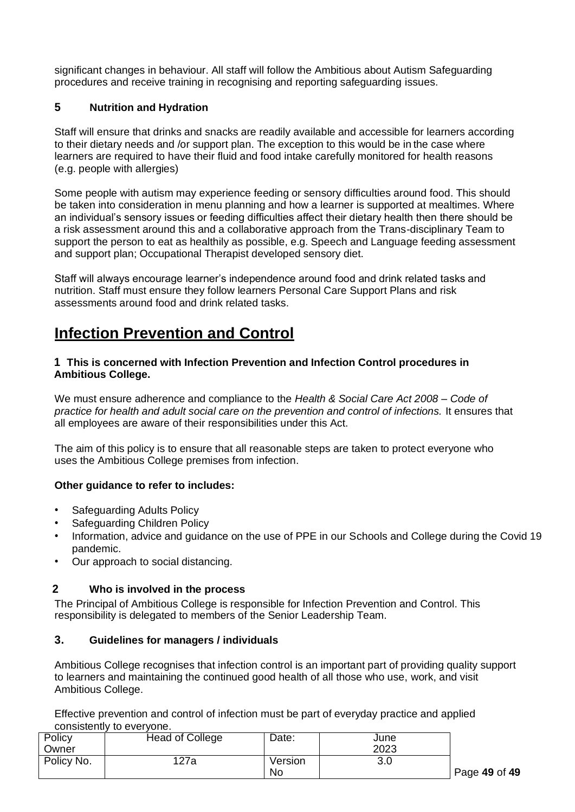significant changes in behaviour. All staff will follow the Ambitious about Autism Safeguarding procedures and receive training in recognising and reporting safeguarding issues.

## **5 Nutrition and Hydration**

Staff will ensure that drinks and snacks are readily available and accessible for learners according to their dietary needs and /or support plan. The exception to this would be in the case where learners are required to have their fluid and food intake carefully monitored for health reasons (e.g. people with allergies)

Some people with autism may experience feeding or sensory difficulties around food. This should be taken into consideration in menu planning and how a learner is supported at mealtimes. Where an individual's sensory issues or feeding difficulties affect their dietary health then there should be a risk assessment around this and a collaborative approach from the Trans-disciplinary Team to support the person to eat as healthily as possible, e.g. Speech and Language feeding assessment and support plan; Occupational Therapist developed sensory diet.

Staff will always encourage learner's independence around food and drink related tasks and nutrition. Staff must ensure they follow learners Personal Care Support Plans and risk assessments around food and drink related tasks.

# **Infection Prevention and Control**

#### **1 This is concerned with Infection Prevention and Infection Control procedures in Ambitious College.**

We must ensure adherence and compliance to the *Health & Social Care Act 2008 – Code of practice for health and adult social care on the prevention and control of infections.* It ensures that all employees are aware of their responsibilities under this Act.

The aim of this policy is to ensure that all reasonable steps are taken to protect everyone who uses the Ambitious College premises from infection.

#### **Other guidance to refer to includes:**

- Safeguarding Adults Policy
- Safeguarding Children Policy
- Information, advice and guidance on the use of PPE in our Schools and College during the Covid 19 pandemic.
- Our approach to social distancing.

# **2 Who is involved in the process**

The Principal of Ambitious College is responsible for Infection Prevention and Control. This responsibility is delegated to members of the Senior Leadership Team.

#### **3. Guidelines for managers / individuals**

Ambitious College recognises that infection control is an important part of providing quality support to learners and maintaining the continued good health of all those who use, work, and visit Ambitious College.

Effective prevention and control of infection must be part of everyday practice and applied consistently to everyone.

| Policy     | <b>Head of College</b> | Date:   | June |
|------------|------------------------|---------|------|
| Owner      |                        |         | 2023 |
| Policy No. | 127a                   | Version | 3.0  |
|            |                        | No      |      |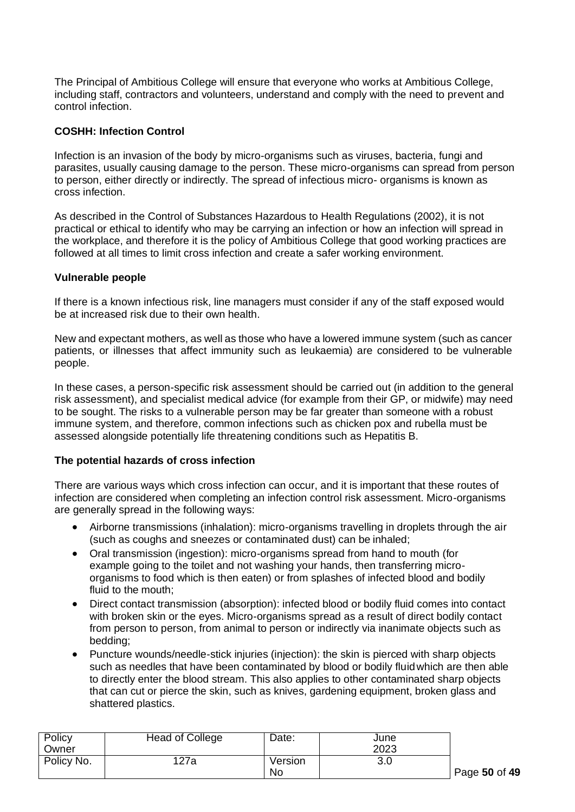The Principal of Ambitious College will ensure that everyone who works at Ambitious College, including staff, contractors and volunteers, understand and comply with the need to prevent and control infection.

#### **COSHH: Infection Control**

Infection is an invasion of the body by micro-organisms such as viruses, bacteria, fungi and parasites, usually causing damage to the person. These micro-organisms can spread from person to person, either directly or indirectly. The spread of infectious micro- organisms is known as cross infection.

As described in the Control of Substances Hazardous to Health Regulations (2002), it is not practical or ethical to identify who may be carrying an infection or how an infection will spread in the workplace, and therefore it is the policy of Ambitious College that good working practices are followed at all times to limit cross infection and create a safer working environment.

#### **Vulnerable people**

If there is a known infectious risk, line managers must consider if any of the staff exposed would be at increased risk due to their own health.

New and expectant mothers, as well as those who have a lowered immune system (such as cancer patients, or illnesses that affect immunity such as leukaemia) are considered to be vulnerable people.

In these cases, a person-specific risk assessment should be carried out (in addition to the general risk assessment), and specialist medical advice (for example from their GP, or midwife) may need to be sought. The risks to a vulnerable person may be far greater than someone with a robust immune system, and therefore, common infections such as chicken pox and rubella must be assessed alongside potentially life threatening conditions such as Hepatitis B.

#### **The potential hazards of cross infection**

There are various ways which cross infection can occur, and it is important that these routes of infection are considered when completing an infection control risk assessment. Micro-organisms are generally spread in the following ways:

- Airborne transmissions (inhalation): micro-organisms travelling in droplets through the air (such as coughs and sneezes or contaminated dust) can be inhaled;
- Oral transmission (ingestion): micro-organisms spread from hand to mouth (for example going to the toilet and not washing your hands, then transferring microorganisms to food which is then eaten) or from splashes of infected blood and bodily fluid to the mouth;
- Direct contact transmission (absorption): infected blood or bodily fluid comes into contact with broken skin or the eyes. Micro-organisms spread as a result of direct bodily contact from person to person, from animal to person or indirectly via inanimate objects such as bedding;
- Puncture wounds/needle-stick injuries (injection): the skin is pierced with sharp objects such as needles that have been contaminated by blood or bodily fluidwhich are then able to directly enter the blood stream. This also applies to other contaminated sharp objects that can cut or pierce the skin, such as knives, gardening equipment, broken glass and shattered plastics.

| Policy     | <b>Head of College</b> | Date:   | June |
|------------|------------------------|---------|------|
| Owner      |                        |         | 2023 |
| Policy No. | 127a                   | Version | 3.0  |
|            |                        | No      |      |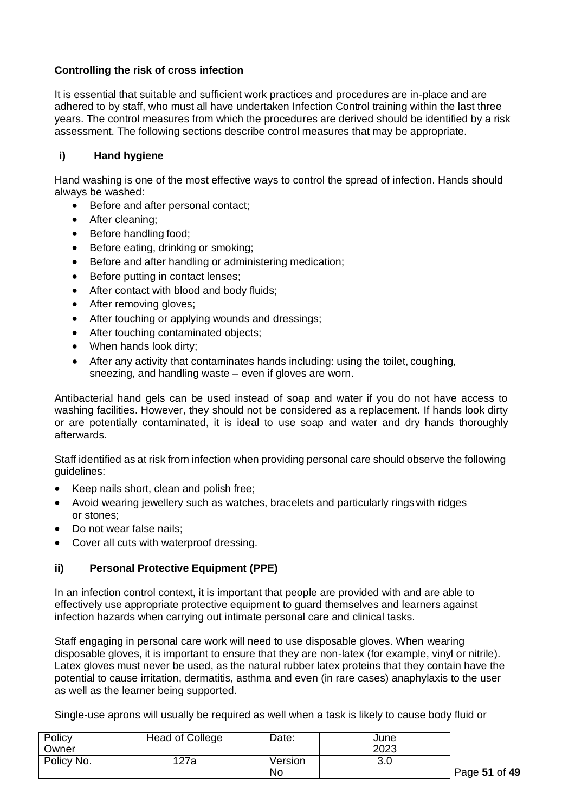# **Controlling the risk of cross infection**

It is essential that suitable and sufficient work practices and procedures are in-place and are adhered to by staff, who must all have undertaken Infection Control training within the last three years. The control measures from which the procedures are derived should be identified by a risk assessment. The following sections describe control measures that may be appropriate.

## **i) Hand hygiene**

Hand washing is one of the most effective ways to control the spread of infection. Hands should always be washed:

- Before and after personal contact;
- After cleaning;
- Before handling food;
- Before eating, drinking or smoking;
- Before and after handling or administering medication;
- Before putting in contact lenses;
- After contact with blood and body fluids;
- After removing gloves;
- After touching or applying wounds and dressings;
- After touching contaminated objects;
- When hands look dirty:
- After any activity that contaminates hands including: using the toilet, coughing, sneezing, and handling waste – even if gloves are worn.

Antibacterial hand gels can be used instead of soap and water if you do not have access to washing facilities. However, they should not be considered as a replacement. If hands look dirty or are potentially contaminated, it is ideal to use soap and water and dry hands thoroughly afterwards.

Staff identified as at risk from infection when providing personal care should observe the following guidelines:

- Keep nails short, clean and polish free;
- Avoid wearing jewellery such as watches, bracelets and particularly rings with ridges or stones;
- Do not wear false nails;
- Cover all cuts with waterproof dressing.

#### **ii) Personal Protective Equipment (PPE)**

In an infection control context, it is important that people are provided with and are able to effectively use appropriate protective equipment to guard themselves and learners against infection hazards when carrying out intimate personal care and clinical tasks.

Staff engaging in personal care work will need to use disposable gloves. When wearing disposable gloves, it is important to ensure that they are non-latex (for example, vinyl or nitrile). Latex gloves must never be used, as the natural rubber latex proteins that they contain have the potential to cause irritation, dermatitis, asthma and even (in rare cases) anaphylaxis to the user as well as the learner being supported.

Single-use aprons will usually be required as well when a task is likely to cause body fluid or

| Policy     | <b>Head of College</b> | Date:   | June |
|------------|------------------------|---------|------|
| Owner      |                        |         | 2023 |
| Policy No. | 127a                   | Version | 3.0  |
|            |                        | No      |      |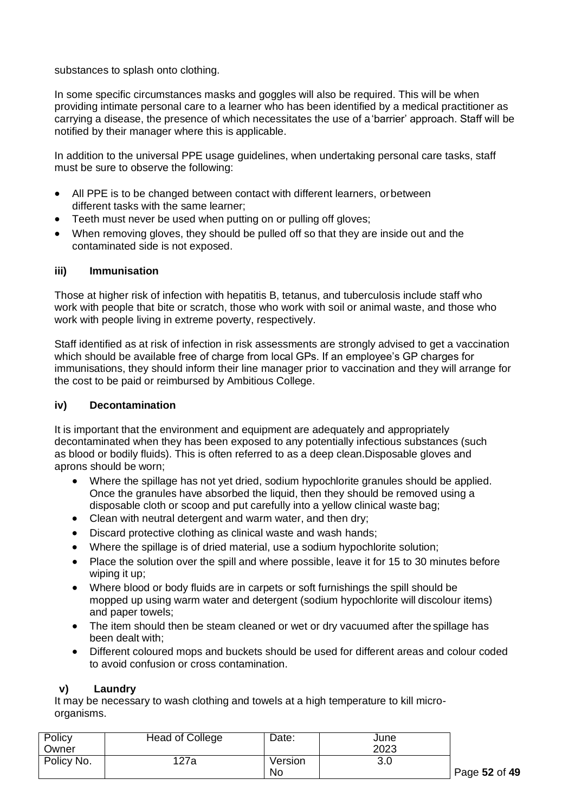substances to splash onto clothing.

In some specific circumstances masks and goggles will also be required. This will be when providing intimate personal care to a learner who has been identified by a medical practitioner as carrying a disease, the presence of which necessitates the use of a'barrier' approach. Staff will be notified by their manager where this is applicable.

In addition to the universal PPE usage guidelines, when undertaking personal care tasks, staff must be sure to observe the following:

- All PPE is to be changed between contact with different learners, orbetween different tasks with the same learner;
- Teeth must never be used when putting on or pulling off gloves;
- When removing gloves, they should be pulled off so that they are inside out and the contaminated side is not exposed.

#### **iii) Immunisation**

Those at higher risk of infection with hepatitis B, tetanus, and tuberculosis include staff who work with people that bite or scratch, those who work with soil or animal waste, and those who work with people living in extreme poverty, respectively.

Staff identified as at risk of infection in risk assessments are strongly advised to get a vaccination which should be available free of charge from local GPs. If an employee's GP charges for immunisations, they should inform their line manager prior to vaccination and they will arrange for the cost to be paid or reimbursed by Ambitious College.

#### **iv) Decontamination**

It is important that the environment and equipment are adequately and appropriately decontaminated when they has been exposed to any potentially infectious substances (such as blood or bodily fluids). This is often referred to as a deep clean.Disposable gloves and aprons should be worn;

- Where the spillage has not vet dried, sodium hypochlorite granules should be applied. Once the granules have absorbed the liquid, then they should be removed using a disposable cloth or scoop and put carefully into a yellow clinical waste bag;
- Clean with neutral detergent and warm water, and then dry:
- Discard protective clothing as clinical waste and wash hands;
- Where the spillage is of dried material, use a sodium hypochlorite solution;
- Place the solution over the spill and where possible, leave it for 15 to 30 minutes before wiping it up;
- Where blood or body fluids are in carpets or soft furnishings the spill should be mopped up using warm water and detergent (sodium hypochlorite will discolour items) and paper towels;
- The item should then be steam cleaned or wet or dry vacuumed after the spillage has been dealt with;
- Different coloured mops and buckets should be used for different areas and colour coded to avoid confusion or cross contamination.

#### **v) Laundry**

It may be necessary to wash clothing and towels at a high temperature to kill microorganisms.

| Policy     | <b>Head of College</b> | Date:   | June |
|------------|------------------------|---------|------|
| Owner      |                        |         | 2023 |
| Policy No. | 127a                   | Version | 3.0  |
|            |                        | No      |      |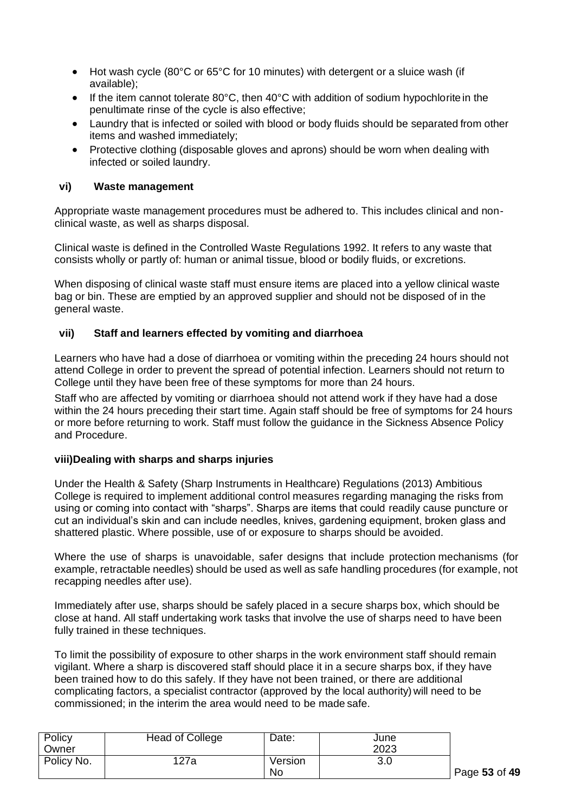- Hot wash cycle (80°C or 65°C for 10 minutes) with detergent or a sluice wash (if available);
- If the item cannot tolerate 80°C, then 40°C with addition of sodium hypochlorite in the penultimate rinse of the cycle is also effective;
- Laundry that is infected or soiled with blood or body fluids should be separated from other items and washed immediately;
- Protective clothing (disposable gloves and aprons) should be worn when dealing with infected or soiled laundry.

#### **vi) Waste management**

Appropriate waste management procedures must be adhered to. This includes clinical and nonclinical waste, as well as sharps disposal.

Clinical waste is defined in the Controlled Waste Regulations 1992. It refers to any waste that consists wholly or partly of: human or animal tissue, blood or bodily fluids, or excretions.

When disposing of clinical waste staff must ensure items are placed into a yellow clinical waste bag or bin. These are emptied by an approved supplier and should not be disposed of in the general waste.

#### **vii) Staff and learners effected by vomiting and diarrhoea**

Learners who have had a dose of diarrhoea or vomiting within the preceding 24 hours should not attend College in order to prevent the spread of potential infection. Learners should not return to College until they have been free of these symptoms for more than 24 hours.

Staff who are affected by vomiting or diarrhoea should not attend work if they have had a dose within the 24 hours preceding their start time. Again staff should be free of symptoms for 24 hours or more before returning to work. Staff must follow the guidance in the Sickness Absence Policy and Procedure.

#### **viii)Dealing with sharps and sharps injuries**

Under the Health & Safety (Sharp Instruments in Healthcare) Regulations (2013) Ambitious College is required to implement additional control measures regarding managing the risks from using or coming into contact with "sharps". Sharps are items that could readily cause puncture or cut an individual's skin and can include needles, knives, gardening equipment, broken glass and shattered plastic. Where possible, use of or exposure to sharps should be avoided.

Where the use of sharps is unavoidable, safer designs that include protection mechanisms (for example, retractable needles) should be used as well as safe handling procedures (for example, not recapping needles after use).

Immediately after use, sharps should be safely placed in a secure sharps box, which should be close at hand. All staff undertaking work tasks that involve the use of sharps need to have been fully trained in these techniques.

To limit the possibility of exposure to other sharps in the work environment staff should remain vigilant. Where a sharp is discovered staff should place it in a secure sharps box, if they have been trained how to do this safely. If they have not been trained, or there are additional complicating factors, a specialist contractor (approved by the local authority) will need to be commissioned; in the interim the area would need to be made safe.

| Policy     | Head of College | Date:   | June |
|------------|-----------------|---------|------|
| Owner      |                 |         | 2023 |
| Policy No. | 127a            | Version | 3.0  |
|            |                 | No      |      |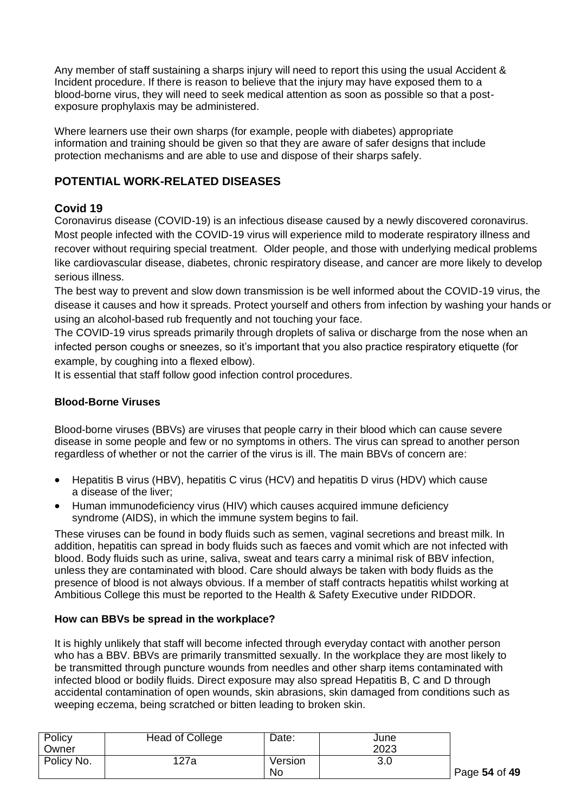Any member of staff sustaining a sharps injury will need to report this using the usual Accident & Incident procedure. If there is reason to believe that the injury may have exposed them to a blood-borne virus, they will need to seek medical attention as soon as possible so that a postexposure prophylaxis may be administered.

Where learners use their own sharps (for example, people with diabetes) appropriate information and training should be given so that they are aware of safer designs that include protection mechanisms and are able to use and dispose of their sharps safely.

# **POTENTIAL WORK-RELATED DISEASES**

# **Covid 19**

Coronavirus disease (COVID-19) is an infectious disease caused by a newly discovered coronavirus. Most people infected with the COVID-19 virus will experience mild to moderate respiratory illness and recover without requiring special treatment. Older people, and those with underlying medical problems like cardiovascular disease, diabetes, chronic respiratory disease, and cancer are more likely to develop serious illness.

The best way to prevent and slow down transmission is be well informed about the COVID-19 virus, the disease it causes and how it spreads. Protect yourself and others from infection by washing your hands or using an alcohol-based rub frequently and not touching your face.

The COVID-19 virus spreads primarily through droplets of saliva or discharge from the nose when an infected person coughs or sneezes, so it's important that you also practice respiratory etiquette (for example, by coughing into a flexed elbow).

It is essential that staff follow good infection control procedures.

# **Blood-Borne Viruses**

Blood-borne viruses (BBVs) are viruses that people carry in their blood which can cause severe disease in some people and few or no symptoms in others. The virus can spread to another person regardless of whether or not the carrier of the virus is ill. The main BBVs of concern are:

- Hepatitis B virus (HBV), hepatitis C virus (HCV) and hepatitis D virus (HDV) which cause a disease of the liver;
- Human immunodeficiency virus (HIV) which causes acquired immune deficiency syndrome (AIDS), in which the immune system begins to fail.

These viruses can be found in body fluids such as semen, vaginal secretions and breast milk. In addition, hepatitis can spread in body fluids such as faeces and vomit which are not infected with blood. Body fluids such as urine, saliva, sweat and tears carry a minimal risk of BBV infection, unless they are contaminated with blood. Care should always be taken with body fluids as the presence of blood is not always obvious. If a member of staff contracts hepatitis whilst working at Ambitious College this must be reported to the Health & Safety Executive under RIDDOR.

# **How can BBVs be spread in the workplace?**

It is highly unlikely that staff will become infected through everyday contact with another person who has a BBV. BBVs are primarily transmitted sexually. In the workplace they are most likely to be transmitted through puncture wounds from needles and other sharp items contaminated with infected blood or bodily fluids. Direct exposure may also spread Hepatitis B, C and D through accidental contamination of open wounds, skin abrasions, skin damaged from conditions such as weeping eczema, being scratched or bitten leading to broken skin.

| Policy     | Head of College | Date:   | June |
|------------|-----------------|---------|------|
| Owner      |                 |         | 2023 |
| Policy No. | 127a            | Version | 3.0  |
|            |                 | No      |      |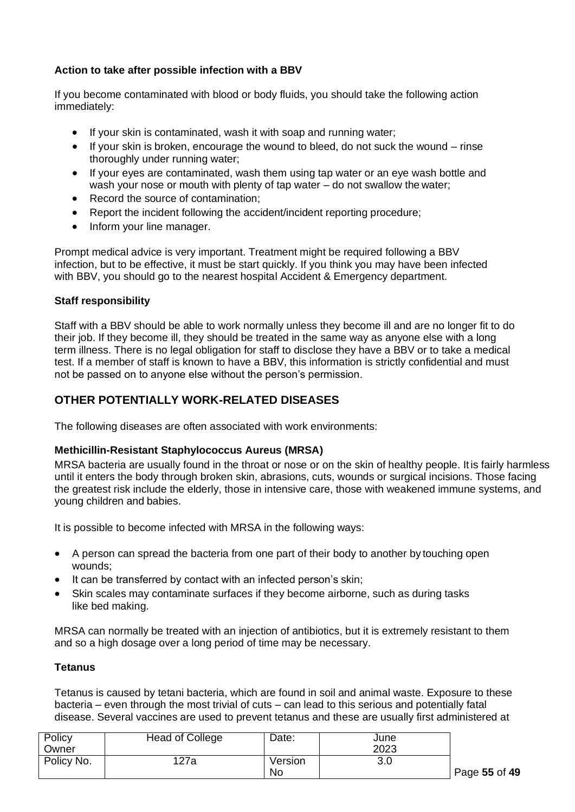# **Action to take after possible infection with a BBV**

If you become contaminated with blood or body fluids, you should take the following action immediately:

- If your skin is contaminated, wash it with soap and running water;
- If your skin is broken, encourage the wound to bleed, do not suck the wound rinse thoroughly under running water;
- If your eyes are contaminated, wash them using tap water or an eye wash bottle and wash your nose or mouth with plenty of tap water – do not swallow the water;
- Record the source of contamination:
- Report the incident following the accident/incident reporting procedure;
- Inform your line manager.

Prompt medical advice is very important. Treatment might be required following a BBV infection, but to be effective, it must be start quickly. If you think you may have been infected with BBV, you should go to the nearest hospital Accident & Emergency department.

#### **Staff responsibility**

Staff with a BBV should be able to work normally unless they become ill and are no longer fit to do their job. If they become ill, they should be treated in the same way as anyone else with a long term illness. There is no legal obligation for staff to disclose they have a BBV or to take a medical test. If a member of staff is known to have a BBV, this information is strictly confidential and must not be passed on to anyone else without the person's permission.

## **OTHER POTENTIALLY WORK-RELATED DISEASES**

The following diseases are often associated with work environments:

#### **Methicillin-Resistant Staphylococcus Aureus (MRSA)**

MRSA bacteria are usually found in the throat or nose or on the skin of healthy people. It is fairly harmless until it enters the body through broken skin, abrasions, cuts, wounds or surgical incisions. Those facing the greatest risk include the elderly, those in intensive care, those with weakened immune systems, and young children and babies.

It is possible to become infected with MRSA in the following ways:

- A person can spread the bacteria from one part of their body to another by touching open wounds;
- It can be transferred by contact with an infected person's skin;
- Skin scales may contaminate surfaces if they become airborne, such as during tasks like bed making.

MRSA can normally be treated with an injection of antibiotics, but it is extremely resistant to them and so a high dosage over a long period of time may be necessary.

#### **Tetanus**

Tetanus is caused by tetani bacteria, which are found in soil and animal waste. Exposure to these bacteria – even through the most trivial of cuts – can lead to this serious and potentially fatal disease. Several vaccines are used to prevent tetanus and these are usually first administered at

| Policy     | <b>Head of College</b> | Date:   | June |
|------------|------------------------|---------|------|
| Owner      |                        |         | 2023 |
| Policy No. | 127a                   | Version | 3.0  |
|            |                        | No      |      |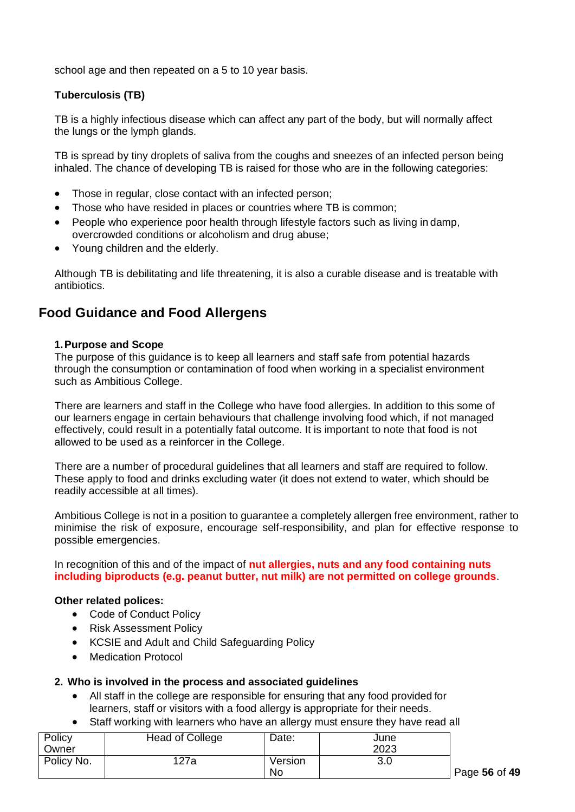school age and then repeated on a 5 to 10 year basis.

## **Tuberculosis (TB)**

TB is a highly infectious disease which can affect any part of the body, but will normally affect the lungs or the lymph glands.

TB is spread by tiny droplets of saliva from the coughs and sneezes of an infected person being inhaled. The chance of developing TB is raised for those who are in the following categories:

- Those in regular, close contact with an infected person;
- Those who have resided in places or countries where TB is common;
- People who experience poor health through lifestyle factors such as living in damp, overcrowded conditions or alcoholism and drug abuse;
- Young children and the elderly.

Although TB is debilitating and life threatening, it is also a curable disease and is treatable with antibiotics.

# **Food Guidance and Food Allergens**

#### **1.Purpose and Scope**

The purpose of this guidance is to keep all learners and staff safe from potential hazards through the consumption or contamination of food when working in a specialist environment such as Ambitious College.

There are learners and staff in the College who have food allergies. In addition to this some of our learners engage in certain behaviours that challenge involving food which, if not managed effectively, could result in a potentially fatal outcome. It is important to note that food is not allowed to be used as a reinforcer in the College.

There are a number of procedural guidelines that all learners and staff are required to follow. These apply to food and drinks excluding water (it does not extend to water, which should be readily accessible at all times).

Ambitious College is not in a position to guarantee a completely allergen free environment, rather to minimise the risk of exposure, encourage self-responsibility, and plan for effective response to possible emergencies.

In recognition of this and of the impact of **nut allergies, nuts and any food containing nuts including biproducts (e.g. peanut butter, nut milk) are not permitted on college grounds**.

#### **Other related polices:**

- Code of Conduct Policy
- Risk Assessment Policy
- KCSIE and Adult and Child Safeguarding Policy
- Medication Protocol

#### **2. Who is involved in the process and associated guidelines**

- All staff in the college are responsible for ensuring that any food provided for learners, staff or visitors with a food allergy is appropriate for their needs.
- Staff working with learners who have an allergy must ensure they have read all

| Policy     | <b>Head of College</b> | Date:   | June |
|------------|------------------------|---------|------|
| Owner      |                        |         | 2023 |
| Policy No. | 127a                   | Version | 3.0  |
|            |                        | No      |      |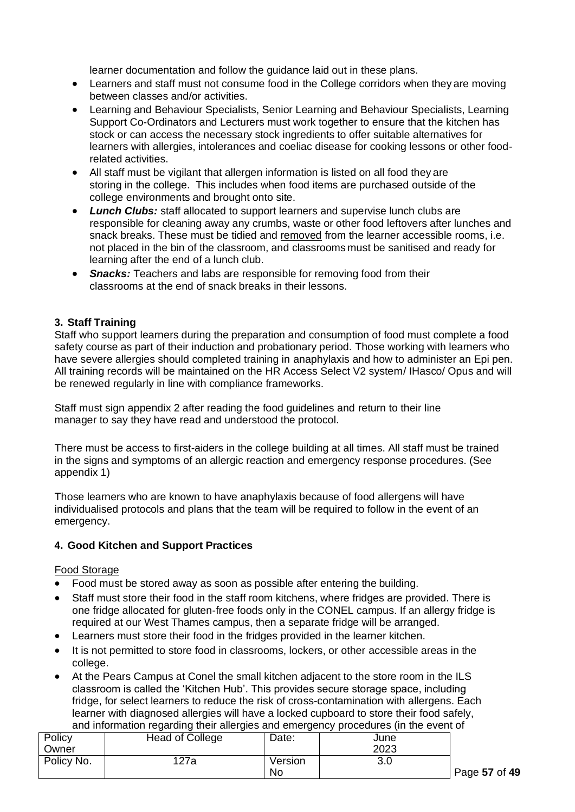learner documentation and follow the guidance laid out in these plans.

- Learners and staff must not consume food in the College corridors when they are moving between classes and/or activities.
- Learning and Behaviour Specialists, Senior Learning and Behaviour Specialists, Learning Support Co-Ordinators and Lecturers must work together to ensure that the kitchen has stock or can access the necessary stock ingredients to offer suitable alternatives for learners with allergies, intolerances and coeliac disease for cooking lessons or other foodrelated activities.
- All staff must be vigilant that allergen information is listed on all food they are storing in the college. This includes when food items are purchased outside of the college environments and brought onto site.
- *Lunch Clubs:* staff allocated to support learners and supervise lunch clubs are responsible for cleaning away any crumbs, waste or other food leftovers after lunches and snack breaks. These must be tidied and removed from the learner accessible rooms, i.e. not placed in the bin of the classroom, and classrooms must be sanitised and ready for learning after the end of a lunch club.
- **Snacks:** Teachers and labs are responsible for removing food from their classrooms at the end of snack breaks in their lessons.

## **3. Staff Training**

Staff who support learners during the preparation and consumption of food must complete a food safety course as part of their induction and probationary period. Those working with learners who have severe allergies should completed training in anaphylaxis and how to administer an Epi pen. All training records will be maintained on the HR Access Select V2 system/ IHasco/ Opus and will be renewed regularly in line with compliance frameworks.

Staff must sign appendix 2 after reading the food guidelines and return to their line manager to say they have read and understood the protocol.

There must be access to first-aiders in the college building at all times. All staff must be trained in the signs and symptoms of an allergic reaction and emergency response procedures. (See appendix 1)

Those learners who are known to have anaphylaxis because of food allergens will have individualised protocols and plans that the team will be required to follow in the event of an emergency.

#### **4. Good Kitchen and Support Practices**

#### Food Storage

- Food must be stored away as soon as possible after entering the building.
- Staff must store their food in the staff room kitchens, where fridges are provided. There is one fridge allocated for gluten-free foods only in the CONEL campus. If an allergy fridge is required at our West Thames campus, then a separate fridge will be arranged.
- Learners must store their food in the fridges provided in the learner kitchen.
- It is not permitted to store food in classrooms, lockers, or other accessible areas in the college.
- At the Pears Campus at Conel the small kitchen adjacent to the store room in the ILS classroom is called the 'Kitchen Hub'. This provides secure storage space, including fridge, for select learners to reduce the risk of cross-contamination with allergens. Each learner with diagnosed allergies will have a locked cupboard to store their food safely, and information regarding their allergies and emergency procedures (in the event of

| Policy     | Head of College | Date:   | June |
|------------|-----------------|---------|------|
| Owner      |                 |         | 2023 |
| Policy No. | 127a            | Version | 3.0  |
|            |                 | No      |      |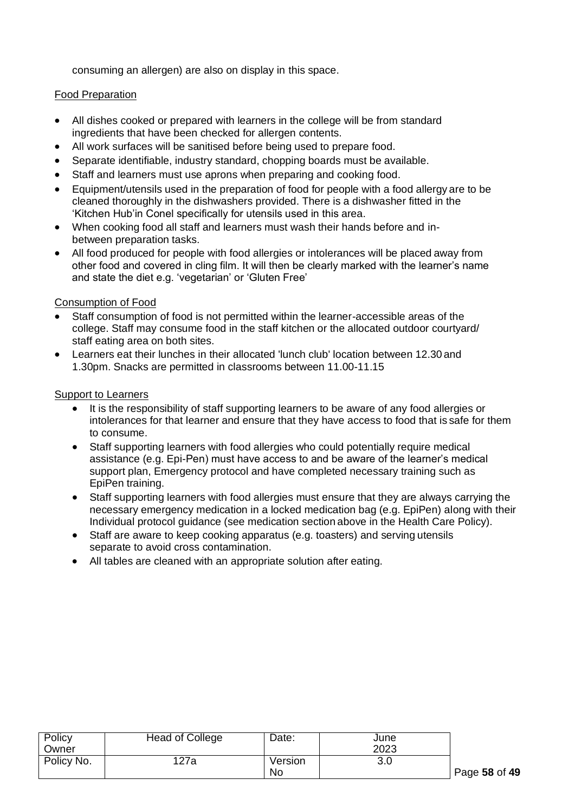consuming an allergen) are also on display in this space.

## Food Preparation

- All dishes cooked or prepared with learners in the college will be from standard ingredients that have been checked for allergen contents.
- All work surfaces will be sanitised before being used to prepare food.
- Separate identifiable, industry standard, chopping boards must be available.
- Staff and learners must use aprons when preparing and cooking food.
- Equipment/utensils used in the preparation of food for people with a food allergy are to be cleaned thoroughly in the dishwashers provided. There is a dishwasher fitted in the 'Kitchen Hub'in Conel specifically for utensils used in this area.
- When cooking food all staff and learners must wash their hands before and inbetween preparation tasks.
- All food produced for people with food allergies or intolerances will be placed away from other food and covered in cling film. It will then be clearly marked with the learner's name and state the diet e.g. 'vegetarian' or 'Gluten Free'

#### Consumption of Food

- Staff consumption of food is not permitted within the learner-accessible areas of the college. Staff may consume food in the staff kitchen or the allocated outdoor courtyard/ staff eating area on both sites.
- Learners eat their lunches in their allocated 'lunch club' location between 12.30 and 1.30pm. Snacks are permitted in classrooms between 11.00-11.15

#### **Support to Learners**

- It is the responsibility of staff supporting learners to be aware of any food allergies or intolerances for that learner and ensure that they have access to food that is safe for them to consume.
- Staff supporting learners with food allergies who could potentially require medical assistance (e.g. Epi-Pen) must have access to and be aware of the learner's medical support plan, Emergency protocol and have completed necessary training such as EpiPen training.
- Staff supporting learners with food allergies must ensure that they are always carrying the necessary emergency medication in a locked medication bag (e.g. EpiPen) along with their Individual protocol guidance (see medication section above in the Health Care Policy).
- Staff are aware to keep cooking apparatus (e.g. toasters) and serving utensils separate to avoid cross contamination.
- All tables are cleaned with an appropriate solution after eating.

| Policy     | Head of College | Date:     | June |
|------------|-----------------|-----------|------|
| Owner      |                 |           | 2023 |
| Policy No. | 127a            | Version   | 3.0  |
|            |                 | <b>No</b> |      |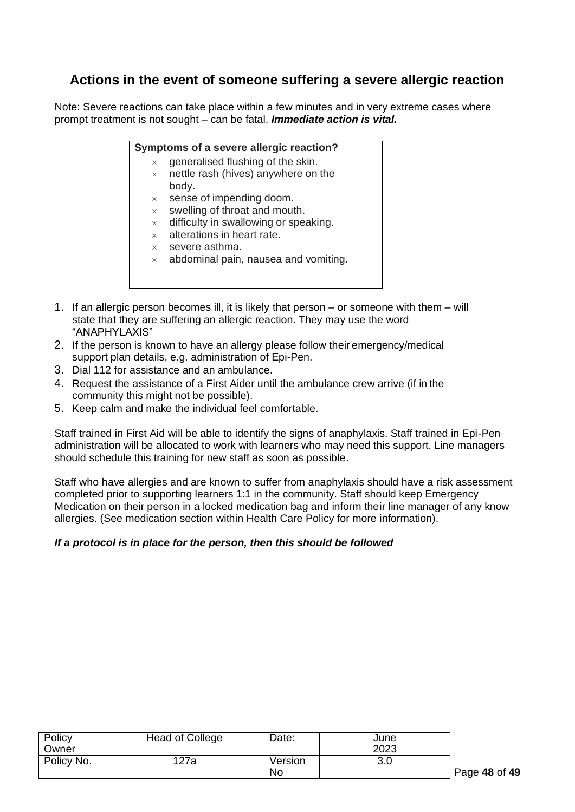# **Actions in the event of someone suffering a severe allergic reaction**

Note: Severe reactions can take place within a few minutes and in very extreme cases where prompt treatment is not sought – can be fatal. *Immediate action is vital.*

|  |  | Symptoms of a severe allergic reaction? |  |
|--|--|-----------------------------------------|--|
|  |  |                                         |  |

- $\times$  generalised flushing of the skin.
	- $\times$  nettle rash (hives) anywhere on the body.
	- $\times$  sense of impending doom.
	- $\times$  swelling of throat and mouth.
	- $\times$  difficulty in swallowing or speaking.
	- $\times$  alterations in heart rate.
	- $\times$  severe asthma.
	- $\times$  abdominal pain, nausea and vomiting.
- 1. If an allergic person becomes ill, it is likely that person or someone with them will state that they are suffering an allergic reaction. They may use the word "ANAPHYLAXIS"
- 2. If the person is known to have an allergy please follow their emergency/medical support plan details, e.g. administration of Epi-Pen.
- 3. Dial 112 for assistance and an ambulance.
- 4. Request the assistance of a First Aider until the ambulance crew arrive (if in the community this might not be possible).
- 5. Keep calm and make the individual feel comfortable.

Staff trained in First Aid will be able to identify the signs of anaphylaxis. Staff trained in Epi-Pen administration will be allocated to work with learners who may need this support. Line managers should schedule this training for new staff as soon as possible.

Staff who have allergies and are known to suffer from anaphylaxis should have a risk assessment completed prior to supporting learners 1:1 in the community. Staff should keep Emergency Medication on their person in a locked medication bag and inform their line manager of any know allergies. (See medication section within Health Care Policy for more information).

# *If a protocol is in place for the person, then this should be followed*

| Policy     | Head of College | Date:   | June |
|------------|-----------------|---------|------|
| Owner      |                 |         | 2023 |
| Policy No. | 127a            | Version | 3.0  |
|            |                 | No      |      |